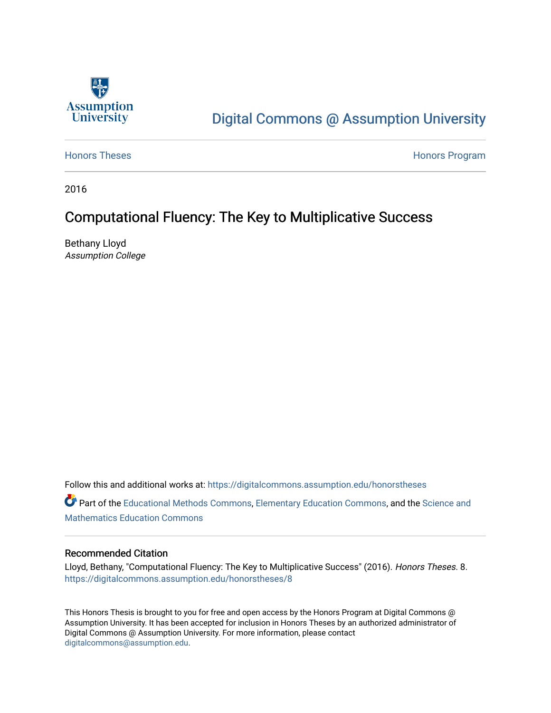

# [Digital Commons @ Assumption University](https://digitalcommons.assumption.edu/)

[Honors Theses](https://digitalcommons.assumption.edu/honorstheses) **Honors** Program

2016

### Computational Fluency: The Key to Multiplicative Success

Bethany Lloyd Assumption College

Follow this and additional works at: [https://digitalcommons.assumption.edu/honorstheses](https://digitalcommons.assumption.edu/honorstheses?utm_source=digitalcommons.assumption.edu%2Fhonorstheses%2F8&utm_medium=PDF&utm_campaign=PDFCoverPages)

Part of the [Educational Methods Commons,](http://network.bepress.com/hgg/discipline/1227?utm_source=digitalcommons.assumption.edu%2Fhonorstheses%2F8&utm_medium=PDF&utm_campaign=PDFCoverPages) [Elementary Education Commons,](http://network.bepress.com/hgg/discipline/1378?utm_source=digitalcommons.assumption.edu%2Fhonorstheses%2F8&utm_medium=PDF&utm_campaign=PDFCoverPages) and the Science and [Mathematics Education Commons](http://network.bepress.com/hgg/discipline/800?utm_source=digitalcommons.assumption.edu%2Fhonorstheses%2F8&utm_medium=PDF&utm_campaign=PDFCoverPages) 

#### Recommended Citation

Lloyd, Bethany, "Computational Fluency: The Key to Multiplicative Success" (2016). Honors Theses. 8. [https://digitalcommons.assumption.edu/honorstheses/8](https://digitalcommons.assumption.edu/honorstheses/8?utm_source=digitalcommons.assumption.edu%2Fhonorstheses%2F8&utm_medium=PDF&utm_campaign=PDFCoverPages) 

This Honors Thesis is brought to you for free and open access by the Honors Program at Digital Commons @ Assumption University. It has been accepted for inclusion in Honors Theses by an authorized administrator of Digital Commons @ Assumption University. For more information, please contact [digitalcommons@assumption.edu](mailto:digitalcommons@assumption.edu).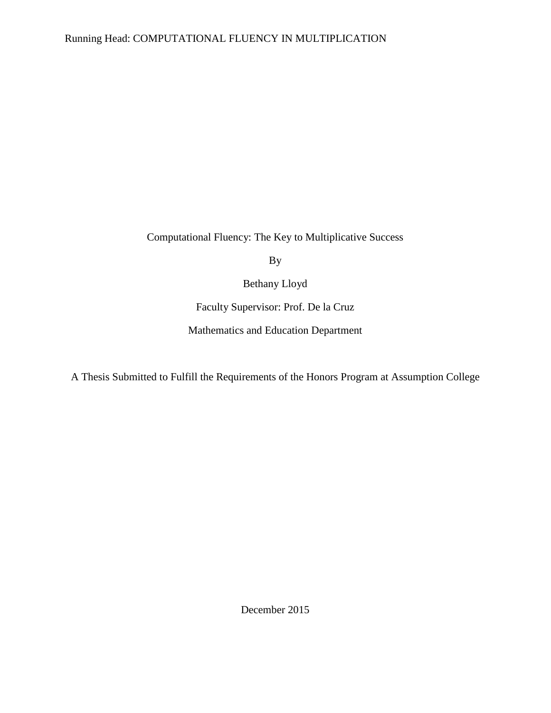Computational Fluency: The Key to Multiplicative Success

By

Bethany Lloyd

Faculty Supervisor: Prof. De la Cruz

Mathematics and Education Department

A Thesis Submitted to Fulfill the Requirements of the Honors Program at Assumption College

December 2015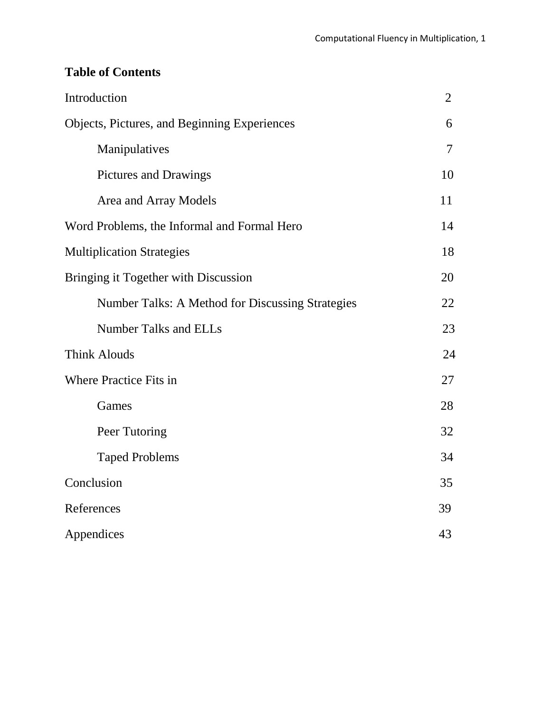### **Table of Contents**

| Introduction                                     | $\overline{2}$ |
|--------------------------------------------------|----------------|
| Objects, Pictures, and Beginning Experiences     | 6              |
| Manipulatives                                    | $\tau$         |
| Pictures and Drawings                            | 10             |
| Area and Array Models                            | 11             |
| Word Problems, the Informal and Formal Hero      | 14             |
| <b>Multiplication Strategies</b>                 | 18             |
| Bringing it Together with Discussion             | 20             |
| Number Talks: A Method for Discussing Strategies | 22             |
| <b>Number Talks and ELLs</b>                     | 23             |
| <b>Think Alouds</b>                              | 24             |
| <b>Where Practice Fits in</b>                    | 27             |
| Games                                            | 28             |
| Peer Tutoring                                    | 32             |
| <b>Taped Problems</b>                            | 34             |
| Conclusion                                       | 35             |
| References                                       | 39             |
| Appendices                                       | 43             |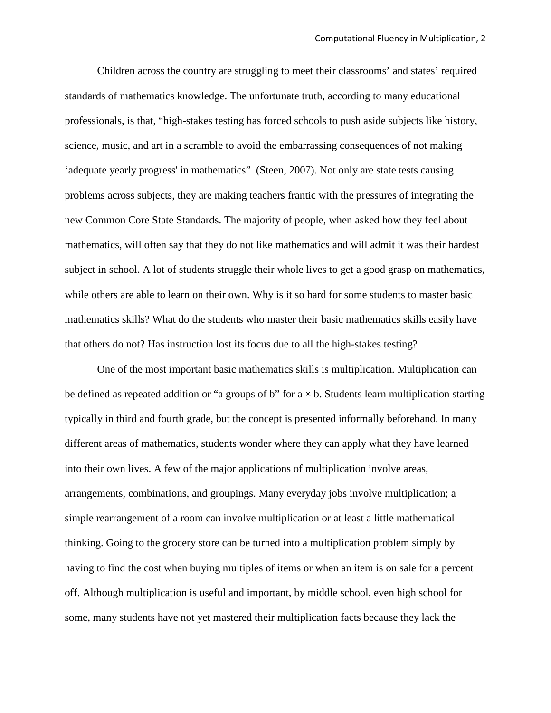Children across the country are struggling to meet their classrooms' and states' required standards of mathematics knowledge. The unfortunate truth, according to many educational professionals, is that, "high-stakes testing has forced schools to push aside subjects like history, science, music, and art in a scramble to avoid the embarrassing consequences of not making 'adequate yearly progress' in mathematics" (Steen, 2007). Not only are state tests causing problems across subjects, they are making teachers frantic with the pressures of integrating the new Common Core State Standards. The majority of people, when asked how they feel about mathematics, will often say that they do not like mathematics and will admit it was their hardest subject in school. A lot of students struggle their whole lives to get a good grasp on mathematics, while others are able to learn on their own. Why is it so hard for some students to master basic mathematics skills? What do the students who master their basic mathematics skills easily have that others do not? Has instruction lost its focus due to all the high-stakes testing?

One of the most important basic mathematics skills is multiplication. Multiplication can be defined as repeated addition or "a groups of b" for  $a \times b$ . Students learn multiplication starting typically in third and fourth grade, but the concept is presented informally beforehand. In many different areas of mathematics, students wonder where they can apply what they have learned into their own lives. A few of the major applications of multiplication involve areas, arrangements, combinations, and groupings. Many everyday jobs involve multiplication; a simple rearrangement of a room can involve multiplication or at least a little mathematical thinking. Going to the grocery store can be turned into a multiplication problem simply by having to find the cost when buying multiples of items or when an item is on sale for a percent off. Although multiplication is useful and important, by middle school, even high school for some, many students have not yet mastered their multiplication facts because they lack the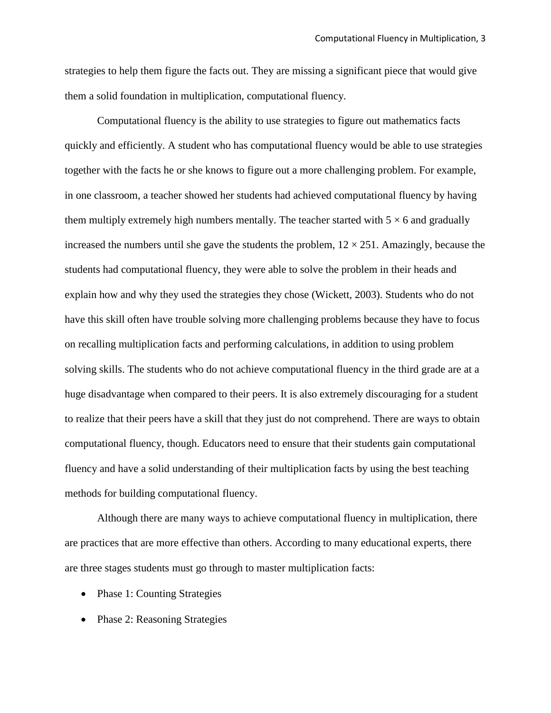strategies to help them figure the facts out. They are missing a significant piece that would give them a solid foundation in multiplication, computational fluency.

Computational fluency is the ability to use strategies to figure out mathematics facts quickly and efficiently. A student who has computational fluency would be able to use strategies together with the facts he or she knows to figure out a more challenging problem. For example, in one classroom, a teacher showed her students had achieved computational fluency by having them multiply extremely high numbers mentally. The teacher started with  $5 \times 6$  and gradually increased the numbers until she gave the students the problem,  $12 \times 251$ . Amazingly, because the students had computational fluency, they were able to solve the problem in their heads and explain how and why they used the strategies they chose (Wickett, 2003). Students who do not have this skill often have trouble solving more challenging problems because they have to focus on recalling multiplication facts and performing calculations, in addition to using problem solving skills. The students who do not achieve computational fluency in the third grade are at a huge disadvantage when compared to their peers. It is also extremely discouraging for a student to realize that their peers have a skill that they just do not comprehend. There are ways to obtain computational fluency, though. Educators need to ensure that their students gain computational fluency and have a solid understanding of their multiplication facts by using the best teaching methods for building computational fluency.

Although there are many ways to achieve computational fluency in multiplication, there are practices that are more effective than others. According to many educational experts, there are three stages students must go through to master multiplication facts:

- Phase 1: Counting Strategies
- Phase 2: Reasoning Strategies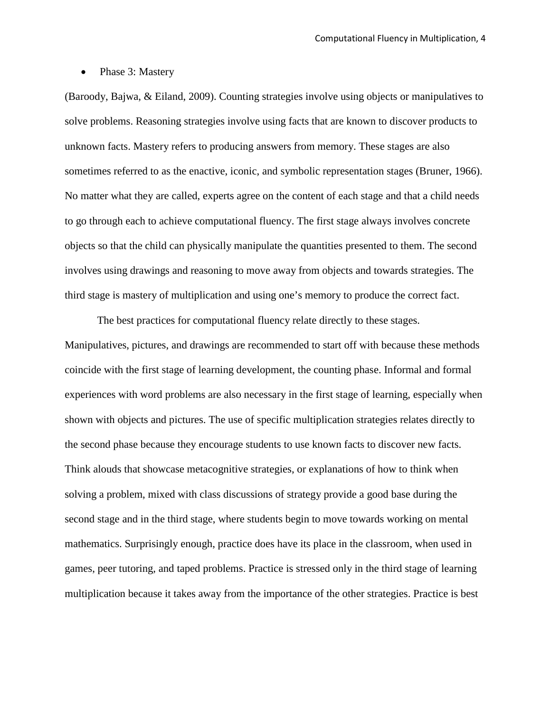• Phase 3: Mastery

(Baroody, Bajwa, & Eiland, 2009). Counting strategies involve using objects or manipulatives to solve problems. Reasoning strategies involve using facts that are known to discover products to unknown facts. Mastery refers to producing answers from memory. These stages are also sometimes referred to as the enactive, iconic, and symbolic representation stages (Bruner, 1966). No matter what they are called, experts agree on the content of each stage and that a child needs to go through each to achieve computational fluency. The first stage always involves concrete objects so that the child can physically manipulate the quantities presented to them. The second involves using drawings and reasoning to move away from objects and towards strategies. The third stage is mastery of multiplication and using one's memory to produce the correct fact.

The best practices for computational fluency relate directly to these stages. Manipulatives, pictures, and drawings are recommended to start off with because these methods coincide with the first stage of learning development, the counting phase. Informal and formal experiences with word problems are also necessary in the first stage of learning, especially when shown with objects and pictures. The use of specific multiplication strategies relates directly to the second phase because they encourage students to use known facts to discover new facts. Think alouds that showcase metacognitive strategies, or explanations of how to think when solving a problem, mixed with class discussions of strategy provide a good base during the second stage and in the third stage, where students begin to move towards working on mental mathematics. Surprisingly enough, practice does have its place in the classroom, when used in games, peer tutoring, and taped problems. Practice is stressed only in the third stage of learning multiplication because it takes away from the importance of the other strategies. Practice is best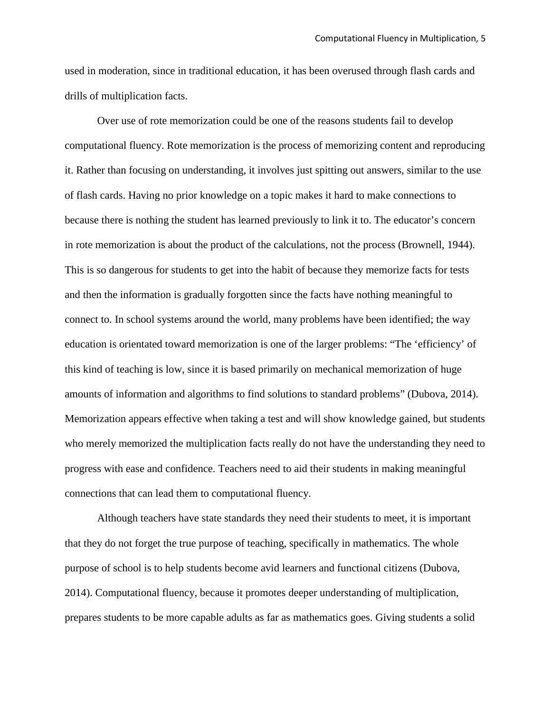used in moderation, since in traditional education, it has been overused through flash cards and drills of multiplication facts.

Over use of rote memorization could be one of the reasons students fail to develop computational fluency. Rote memorization is the process of memorizing content and reproducing it. Rather than focusing on understanding, it involves just spitting out answers, similar to the use of flash cards. Having no prior knowledge on a topic makes it hard to make connections to because there is nothing the student has learned previously to link it to. The educator's concern in rote memorization is about the product of the calculations, not the process (Brownell, 1944). This is so dangerous for students to get into the habit of because they memorize facts for tests and then the information is gradually forgotten since the facts have nothing meaningful to connect to. In school systems around the world, many problems have been identified; the way education is orientated toward memorization is one of the larger problems: "The 'efficiency' of this kind of teaching is low, since it is based primarily on mechanical memorization of huge amounts of information and algorithms to find solutions to standard problems" (Dubova, 2014). Memorization appears effective when taking a test and will show knowledge gained, but students who merely memorized the multiplication facts really do not have the understanding they need to progress with ease and confidence. Teachers need to aid their students in making meaningful connections that can lead them to computational fluency.

Although teachers have state standards they need their students to meet, it is important that they do not forget the true purpose of teaching, specifically in mathematics. The whole purpose of school is to help students become avid learners and functional citizens (Dubova, 2014). Computational fluency, because it promotes deeper understanding of multiplication, prepares students to be more capable adults as far as mathematics goes. Giving students a solid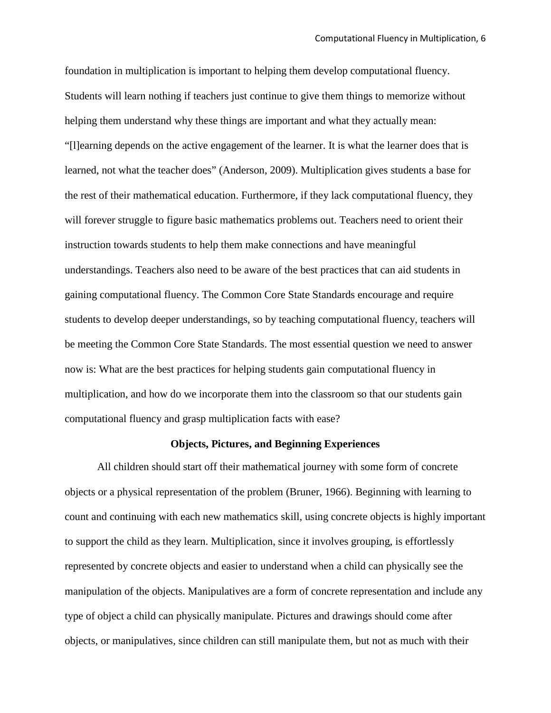foundation in multiplication is important to helping them develop computational fluency. Students will learn nothing if teachers just continue to give them things to memorize without helping them understand why these things are important and what they actually mean: "[l]earning depends on the active engagement of the learner. It is what the learner does that is learned, not what the teacher does" (Anderson, 2009). Multiplication gives students a base for the rest of their mathematical education. Furthermore, if they lack computational fluency, they will forever struggle to figure basic mathematics problems out. Teachers need to orient their instruction towards students to help them make connections and have meaningful understandings. Teachers also need to be aware of the best practices that can aid students in gaining computational fluency. The Common Core State Standards encourage and require students to develop deeper understandings, so by teaching computational fluency, teachers will be meeting the Common Core State Standards. The most essential question we need to answer now is: What are the best practices for helping students gain computational fluency in multiplication, and how do we incorporate them into the classroom so that our students gain computational fluency and grasp multiplication facts with ease?

#### **Objects, Pictures, and Beginning Experiences**

All children should start off their mathematical journey with some form of concrete objects or a physical representation of the problem (Bruner, 1966). Beginning with learning to count and continuing with each new mathematics skill, using concrete objects is highly important to support the child as they learn. Multiplication, since it involves grouping, is effortlessly represented by concrete objects and easier to understand when a child can physically see the manipulation of the objects. Manipulatives are a form of concrete representation and include any type of object a child can physically manipulate. Pictures and drawings should come after objects, or manipulatives, since children can still manipulate them, but not as much with their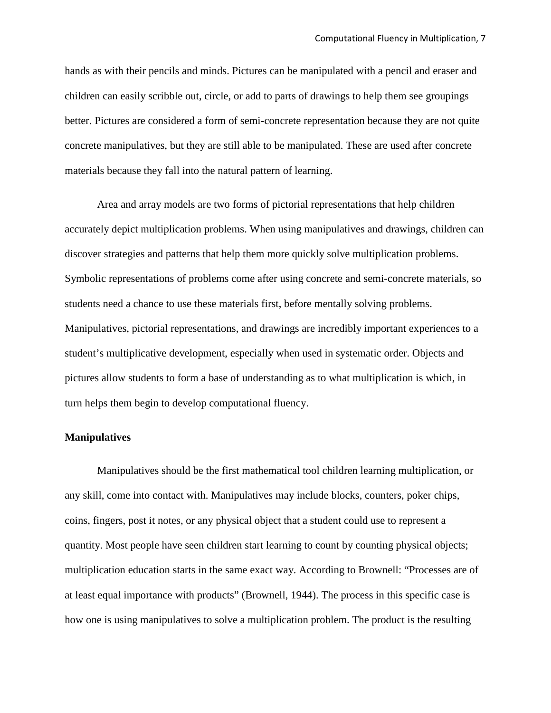hands as with their pencils and minds. Pictures can be manipulated with a pencil and eraser and children can easily scribble out, circle, or add to parts of drawings to help them see groupings better. Pictures are considered a form of semi-concrete representation because they are not quite concrete manipulatives, but they are still able to be manipulated. These are used after concrete materials because they fall into the natural pattern of learning.

Area and array models are two forms of pictorial representations that help children accurately depict multiplication problems. When using manipulatives and drawings, children can discover strategies and patterns that help them more quickly solve multiplication problems. Symbolic representations of problems come after using concrete and semi-concrete materials, so students need a chance to use these materials first, before mentally solving problems. Manipulatives, pictorial representations, and drawings are incredibly important experiences to a student's multiplicative development, especially when used in systematic order. Objects and pictures allow students to form a base of understanding as to what multiplication is which, in turn helps them begin to develop computational fluency.

#### **Manipulatives**

Manipulatives should be the first mathematical tool children learning multiplication, or any skill, come into contact with. Manipulatives may include blocks, counters, poker chips, coins, fingers, post it notes, or any physical object that a student could use to represent a quantity. Most people have seen children start learning to count by counting physical objects; multiplication education starts in the same exact way. According to Brownell: "Processes are of at least equal importance with products" (Brownell, 1944). The process in this specific case is how one is using manipulatives to solve a multiplication problem. The product is the resulting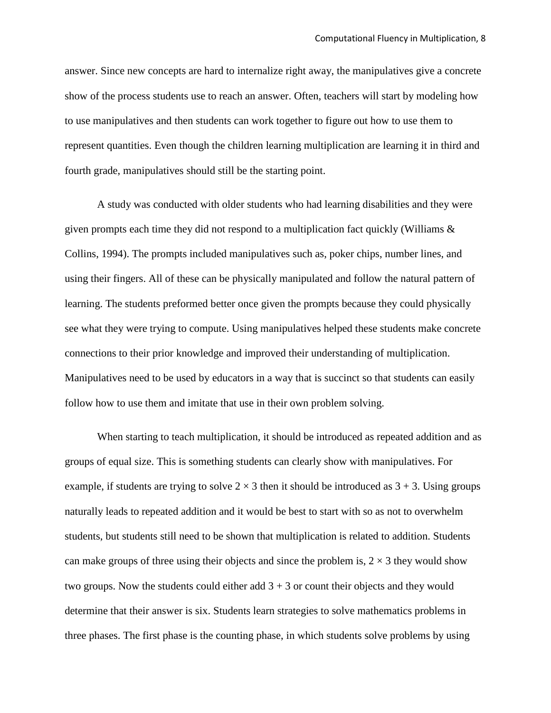answer. Since new concepts are hard to internalize right away, the manipulatives give a concrete show of the process students use to reach an answer. Often, teachers will start by modeling how to use manipulatives and then students can work together to figure out how to use them to represent quantities. Even though the children learning multiplication are learning it in third and fourth grade, manipulatives should still be the starting point.

A study was conducted with older students who had learning disabilities and they were given prompts each time they did not respond to a multiplication fact quickly (Williams & Collins, 1994). The prompts included manipulatives such as, poker chips, number lines, and using their fingers. All of these can be physically manipulated and follow the natural pattern of learning. The students preformed better once given the prompts because they could physically see what they were trying to compute. Using manipulatives helped these students make concrete connections to their prior knowledge and improved their understanding of multiplication. Manipulatives need to be used by educators in a way that is succinct so that students can easily follow how to use them and imitate that use in their own problem solving.

When starting to teach multiplication, it should be introduced as repeated addition and as groups of equal size. This is something students can clearly show with manipulatives. For example, if students are trying to solve  $2 \times 3$  then it should be introduced as  $3 + 3$ . Using groups naturally leads to repeated addition and it would be best to start with so as not to overwhelm students, but students still need to be shown that multiplication is related to addition. Students can make groups of three using their objects and since the problem is,  $2 \times 3$  they would show two groups. Now the students could either add  $3 + 3$  or count their objects and they would determine that their answer is six. Students learn strategies to solve mathematics problems in three phases. The first phase is the counting phase, in which students solve problems by using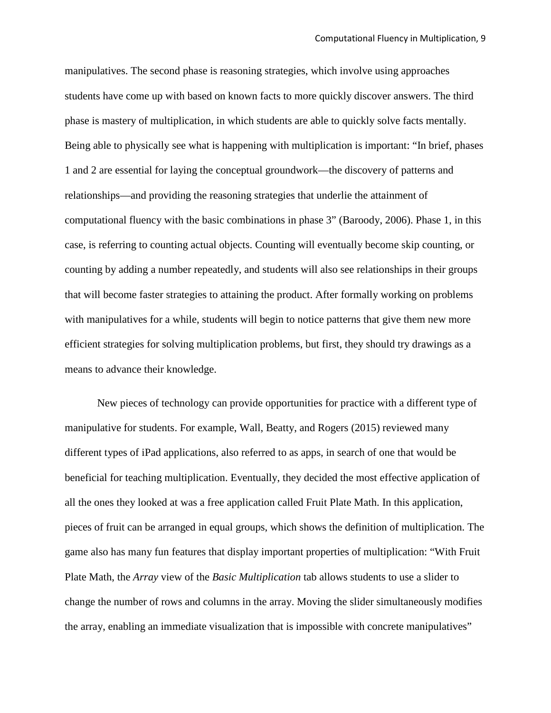manipulatives. The second phase is reasoning strategies, which involve using approaches students have come up with based on known facts to more quickly discover answers. The third phase is mastery of multiplication, in which students are able to quickly solve facts mentally. Being able to physically see what is happening with multiplication is important: "In brief, phases 1 and 2 are essential for laying the conceptual groundwork—the discovery of patterns and relationships—and providing the reasoning strategies that underlie the attainment of computational fluency with the basic combinations in phase 3" (Baroody, 2006). Phase 1, in this case, is referring to counting actual objects. Counting will eventually become skip counting, or counting by adding a number repeatedly, and students will also see relationships in their groups that will become faster strategies to attaining the product. After formally working on problems with manipulatives for a while, students will begin to notice patterns that give them new more efficient strategies for solving multiplication problems, but first, they should try drawings as a means to advance their knowledge.

New pieces of technology can provide opportunities for practice with a different type of manipulative for students. For example, Wall, Beatty, and Rogers (2015) reviewed many different types of iPad applications, also referred to as apps, in search of one that would be beneficial for teaching multiplication. Eventually, they decided the most effective application of all the ones they looked at was a free application called Fruit Plate Math. In this application, pieces of fruit can be arranged in equal groups, which shows the definition of multiplication. The game also has many fun features that display important properties of multiplication: "With Fruit Plate Math, the *Array* view of the *Basic Multiplication* tab allows students to use a slider to change the number of rows and columns in the array. Moving the slider simultaneously modifies the array, enabling an immediate visualization that is impossible with concrete manipulatives"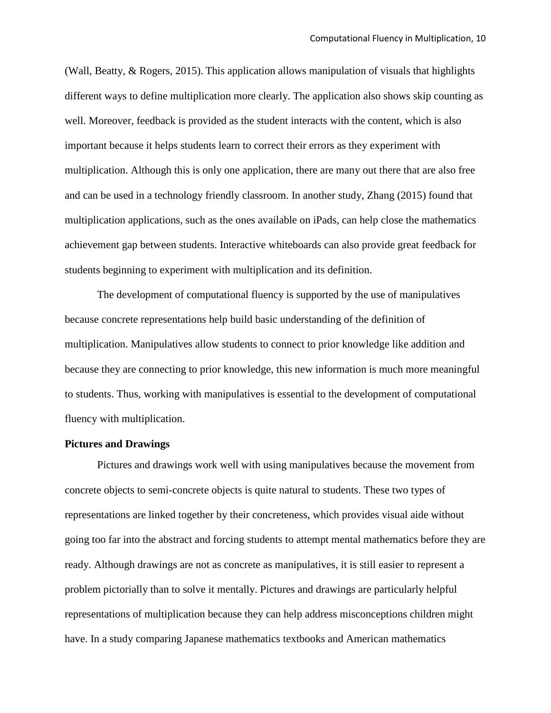(Wall, Beatty, & Rogers, 2015). This application allows manipulation of visuals that highlights different ways to define multiplication more clearly. The application also shows skip counting as well. Moreover, feedback is provided as the student interacts with the content, which is also important because it helps students learn to correct their errors as they experiment with multiplication. Although this is only one application, there are many out there that are also free and can be used in a technology friendly classroom. In another study, Zhang (2015) found that multiplication applications, such as the ones available on iPads, can help close the mathematics achievement gap between students. Interactive whiteboards can also provide great feedback for students beginning to experiment with multiplication and its definition.

The development of computational fluency is supported by the use of manipulatives because concrete representations help build basic understanding of the definition of multiplication. Manipulatives allow students to connect to prior knowledge like addition and because they are connecting to prior knowledge, this new information is much more meaningful to students. Thus, working with manipulatives is essential to the development of computational fluency with multiplication.

#### **Pictures and Drawings**

Pictures and drawings work well with using manipulatives because the movement from concrete objects to semi-concrete objects is quite natural to students. These two types of representations are linked together by their concreteness, which provides visual aide without going too far into the abstract and forcing students to attempt mental mathematics before they are ready. Although drawings are not as concrete as manipulatives, it is still easier to represent a problem pictorially than to solve it mentally. Pictures and drawings are particularly helpful representations of multiplication because they can help address misconceptions children might have. In a study comparing Japanese mathematics textbooks and American mathematics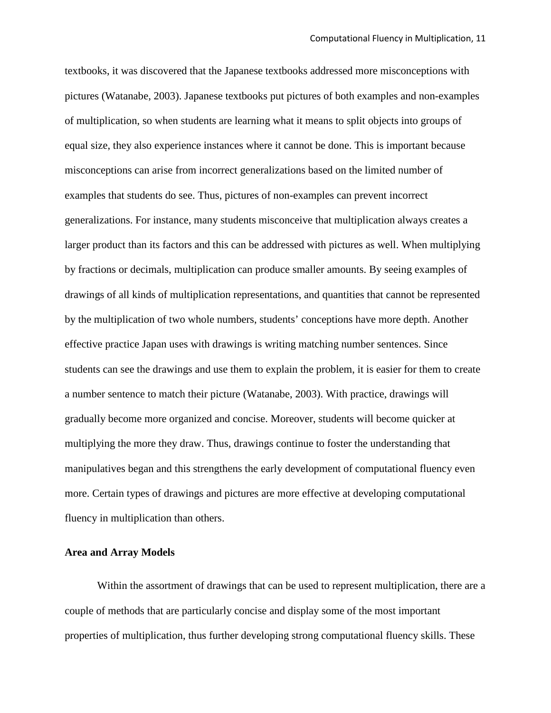textbooks, it was discovered that the Japanese textbooks addressed more misconceptions with pictures (Watanabe, 2003). Japanese textbooks put pictures of both examples and non-examples of multiplication, so when students are learning what it means to split objects into groups of equal size, they also experience instances where it cannot be done. This is important because misconceptions can arise from incorrect generalizations based on the limited number of examples that students do see. Thus, pictures of non-examples can prevent incorrect generalizations. For instance, many students misconceive that multiplication always creates a larger product than its factors and this can be addressed with pictures as well. When multiplying by fractions or decimals, multiplication can produce smaller amounts. By seeing examples of drawings of all kinds of multiplication representations, and quantities that cannot be represented by the multiplication of two whole numbers, students' conceptions have more depth. Another effective practice Japan uses with drawings is writing matching number sentences. Since students can see the drawings and use them to explain the problem, it is easier for them to create a number sentence to match their picture (Watanabe, 2003). With practice, drawings will gradually become more organized and concise. Moreover, students will become quicker at multiplying the more they draw. Thus, drawings continue to foster the understanding that manipulatives began and this strengthens the early development of computational fluency even more. Certain types of drawings and pictures are more effective at developing computational fluency in multiplication than others.

#### **Area and Array Models**

Within the assortment of drawings that can be used to represent multiplication, there are a couple of methods that are particularly concise and display some of the most important properties of multiplication, thus further developing strong computational fluency skills. These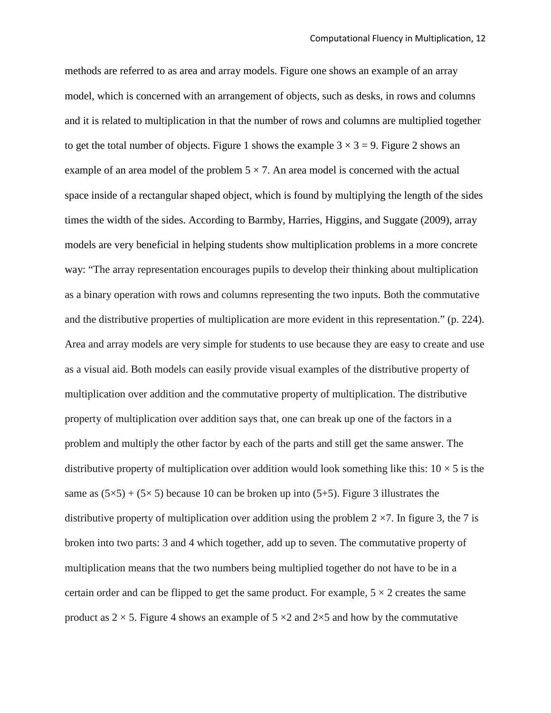methods are referred to as area and array models. Figure one shows an example of an array model, which is concerned with an arrangement of objects, such as desks, in rows and columns and it is related to multiplication in that the number of rows and columns are multiplied together to get the total number of objects. Figure 1 shows the example  $3 \times 3 = 9$ . Figure 2 shows an example of an area model of the problem  $5 \times 7$ . An area model is concerned with the actual space inside of a rectangular shaped object, which is found by multiplying the length of the sides times the width of the sides. According to Barmby, Harries, Higgins, and Suggate (2009), array models are very beneficial in helping students show multiplication problems in a more concrete way: "The array representation encourages pupils to develop their thinking about multiplication as a binary operation with rows and columns representing the two inputs. Both the commutative and the distributive properties of multiplication are more evident in this representation." (p. 224). Area and array models are very simple for students to use because they are easy to create and use as a visual aid. Both models can easily provide visual examples of the distributive property of multiplication over addition and the commutative property of multiplication. The distributive property of multiplication over addition says that, one can break up one of the factors in a problem and multiply the other factor by each of the parts and still get the same answer. The distributive property of multiplication over addition would look something like this:  $10 \times 5$  is the same as  $(5\times5) + (5\times5)$  because 10 can be broken up into  $(5+5)$ . Figure 3 illustrates the distributive property of multiplication over addition using the problem  $2 \times 7$ . In figure 3, the 7 is broken into two parts: 3 and 4 which together, add up to seven. The commutative property of multiplication means that the two numbers being multiplied together do not have to be in a certain order and can be flipped to get the same product. For example,  $5 \times 2$  creates the same product as  $2 \times 5$ . Figure 4 shows an example of  $5 \times 2$  and  $2 \times 5$  and how by the commutative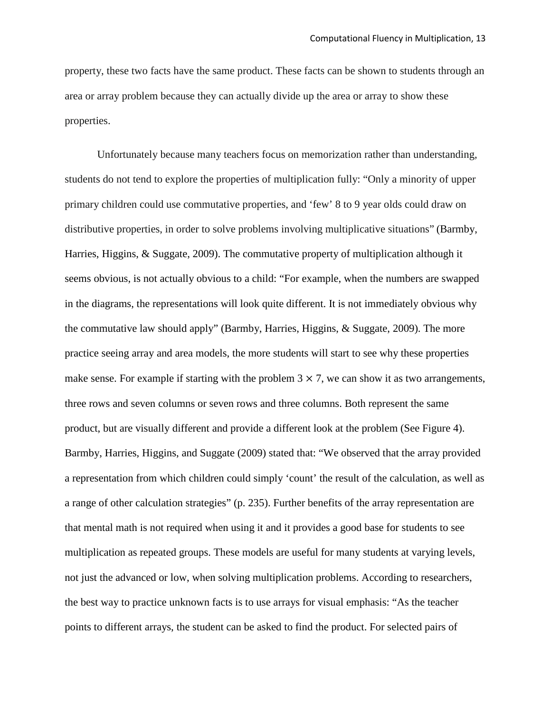property, these two facts have the same product. These facts can be shown to students through an area or array problem because they can actually divide up the area or array to show these properties.

Unfortunately because many teachers focus on memorization rather than understanding, students do not tend to explore the properties of multiplication fully: "Only a minority of upper primary children could use commutative properties, and 'few' 8 to 9 year olds could draw on distributive properties, in order to solve problems involving multiplicative situations" (Barmby, Harries, Higgins, & Suggate, 2009). The commutative property of multiplication although it seems obvious, is not actually obvious to a child: "For example, when the numbers are swapped in the diagrams, the representations will look quite different. It is not immediately obvious why the commutative law should apply" (Barmby, Harries, Higgins, & Suggate, 2009). The more practice seeing array and area models, the more students will start to see why these properties make sense. For example if starting with the problem  $3 \times 7$ , we can show it as two arrangements, three rows and seven columns or seven rows and three columns. Both represent the same product, but are visually different and provide a different look at the problem (See Figure 4). Barmby, Harries, Higgins, and Suggate (2009) stated that: "We observed that the array provided a representation from which children could simply 'count' the result of the calculation, as well as a range of other calculation strategies" (p. 235). Further benefits of the array representation are that mental math is not required when using it and it provides a good base for students to see multiplication as repeated groups. These models are useful for many students at varying levels, not just the advanced or low, when solving multiplication problems. According to researchers, the best way to practice unknown facts is to use arrays for visual emphasis: "As the teacher points to different arrays, the student can be asked to find the product. For selected pairs of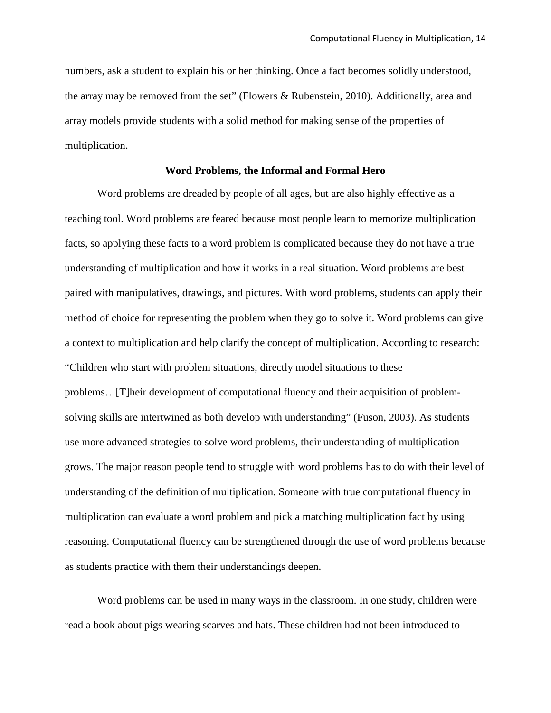numbers, ask a student to explain his or her thinking. Once a fact becomes solidly understood, the array may be removed from the set" (Flowers & Rubenstein, 2010). Additionally, area and array models provide students with a solid method for making sense of the properties of multiplication.

#### **Word Problems, the Informal and Formal Hero**

Word problems are dreaded by people of all ages, but are also highly effective as a teaching tool. Word problems are feared because most people learn to memorize multiplication facts, so applying these facts to a word problem is complicated because they do not have a true understanding of multiplication and how it works in a real situation. Word problems are best paired with manipulatives, drawings, and pictures. With word problems, students can apply their method of choice for representing the problem when they go to solve it. Word problems can give a context to multiplication and help clarify the concept of multiplication. According to research: "Children who start with problem situations, directly model situations to these problems…[T]heir development of computational fluency and their acquisition of problemsolving skills are intertwined as both develop with understanding" (Fuson, 2003). As students use more advanced strategies to solve word problems, their understanding of multiplication grows. The major reason people tend to struggle with word problems has to do with their level of understanding of the definition of multiplication. Someone with true computational fluency in multiplication can evaluate a word problem and pick a matching multiplication fact by using reasoning. Computational fluency can be strengthened through the use of word problems because as students practice with them their understandings deepen.

Word problems can be used in many ways in the classroom. In one study, children were read a book about pigs wearing scarves and hats. These children had not been introduced to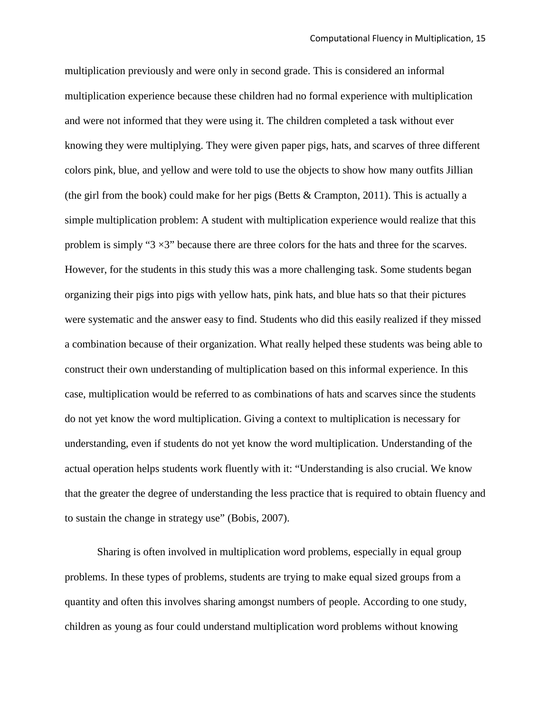multiplication previously and were only in second grade. This is considered an informal multiplication experience because these children had no formal experience with multiplication and were not informed that they were using it. The children completed a task without ever knowing they were multiplying. They were given paper pigs, hats, and scarves of three different colors pink, blue, and yellow and were told to use the objects to show how many outfits Jillian (the girl from the book) could make for her pigs (Betts  $&$  Crampton, 2011). This is actually a simple multiplication problem: A student with multiplication experience would realize that this problem is simply " $3 \times 3$ " because there are three colors for the hats and three for the scarves. However, for the students in this study this was a more challenging task. Some students began organizing their pigs into pigs with yellow hats, pink hats, and blue hats so that their pictures were systematic and the answer easy to find. Students who did this easily realized if they missed a combination because of their organization. What really helped these students was being able to construct their own understanding of multiplication based on this informal experience. In this case, multiplication would be referred to as combinations of hats and scarves since the students do not yet know the word multiplication. Giving a context to multiplication is necessary for understanding, even if students do not yet know the word multiplication. Understanding of the actual operation helps students work fluently with it: "Understanding is also crucial. We know that the greater the degree of understanding the less practice that is required to obtain fluency and to sustain the change in strategy use" (Bobis, 2007).

Sharing is often involved in multiplication word problems, especially in equal group problems. In these types of problems, students are trying to make equal sized groups from a quantity and often this involves sharing amongst numbers of people. According to one study, children as young as four could understand multiplication word problems without knowing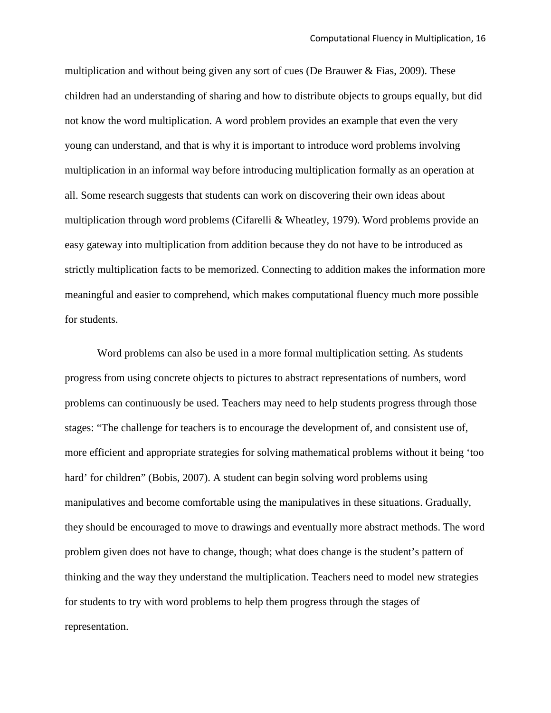multiplication and without being given any sort of cues (De Brauwer  $&$  Fias, 2009). These children had an understanding of sharing and how to distribute objects to groups equally, but did not know the word multiplication. A word problem provides an example that even the very young can understand, and that is why it is important to introduce word problems involving multiplication in an informal way before introducing multiplication formally as an operation at all. Some research suggests that students can work on discovering their own ideas about multiplication through word problems (Cifarelli & Wheatley, 1979). Word problems provide an easy gateway into multiplication from addition because they do not have to be introduced as strictly multiplication facts to be memorized. Connecting to addition makes the information more meaningful and easier to comprehend, which makes computational fluency much more possible for students.

Word problems can also be used in a more formal multiplication setting. As students progress from using concrete objects to pictures to abstract representations of numbers, word problems can continuously be used. Teachers may need to help students progress through those stages: "The challenge for teachers is to encourage the development of, and consistent use of, more efficient and appropriate strategies for solving mathematical problems without it being 'too hard' for children" (Bobis, 2007). A student can begin solving word problems using manipulatives and become comfortable using the manipulatives in these situations. Gradually, they should be encouraged to move to drawings and eventually more abstract methods. The word problem given does not have to change, though; what does change is the student's pattern of thinking and the way they understand the multiplication. Teachers need to model new strategies for students to try with word problems to help them progress through the stages of representation.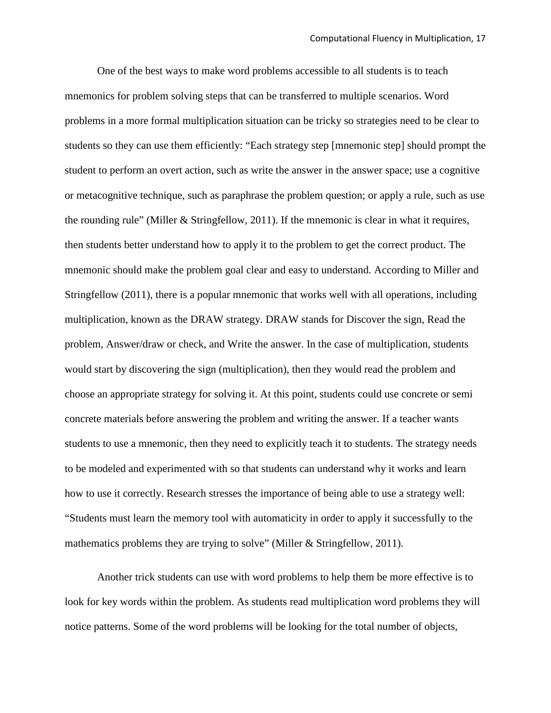One of the best ways to make word problems accessible to all students is to teach mnemonics for problem solving steps that can be transferred to multiple scenarios. Word problems in a more formal multiplication situation can be tricky so strategies need to be clear to students so they can use them efficiently: "Each strategy step [mnemonic step] should prompt the student to perform an overt action, such as write the answer in the answer space; use a cognitive or metacognitive technique, such as paraphrase the problem question; or apply a rule, such as use the rounding rule" (Miller & Stringfellow, 2011). If the mnemonic is clear in what it requires, then students better understand how to apply it to the problem to get the correct product. The mnemonic should make the problem goal clear and easy to understand. According to Miller and Stringfellow (2011), there is a popular mnemonic that works well with all operations, including multiplication, known as the DRAW strategy. DRAW stands for Discover the sign, Read the problem, Answer/draw or check, and Write the answer. In the case of multiplication, students would start by discovering the sign (multiplication), then they would read the problem and choose an appropriate strategy for solving it. At this point, students could use concrete or semi concrete materials before answering the problem and writing the answer. If a teacher wants students to use a mnemonic, then they need to explicitly teach it to students. The strategy needs to be modeled and experimented with so that students can understand why it works and learn how to use it correctly. Research stresses the importance of being able to use a strategy well: "Students must learn the memory tool with automaticity in order to apply it successfully to the mathematics problems they are trying to solve" (Miller & Stringfellow, 2011).

Another trick students can use with word problems to help them be more effective is to look for key words within the problem. As students read multiplication word problems they will notice patterns. Some of the word problems will be looking for the total number of objects,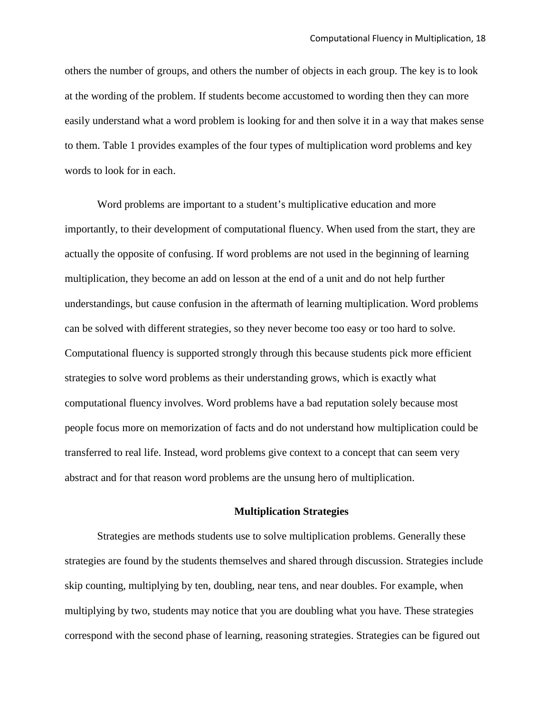others the number of groups, and others the number of objects in each group. The key is to look at the wording of the problem. If students become accustomed to wording then they can more easily understand what a word problem is looking for and then solve it in a way that makes sense to them. Table 1 provides examples of the four types of multiplication word problems and key words to look for in each.

Word problems are important to a student's multiplicative education and more importantly, to their development of computational fluency. When used from the start, they are actually the opposite of confusing. If word problems are not used in the beginning of learning multiplication, they become an add on lesson at the end of a unit and do not help further understandings, but cause confusion in the aftermath of learning multiplication. Word problems can be solved with different strategies, so they never become too easy or too hard to solve. Computational fluency is supported strongly through this because students pick more efficient strategies to solve word problems as their understanding grows, which is exactly what computational fluency involves. Word problems have a bad reputation solely because most people focus more on memorization of facts and do not understand how multiplication could be transferred to real life. Instead, word problems give context to a concept that can seem very abstract and for that reason word problems are the unsung hero of multiplication.

#### **Multiplication Strategies**

Strategies are methods students use to solve multiplication problems. Generally these strategies are found by the students themselves and shared through discussion. Strategies include skip counting, multiplying by ten, doubling, near tens, and near doubles. For example, when multiplying by two, students may notice that you are doubling what you have. These strategies correspond with the second phase of learning, reasoning strategies. Strategies can be figured out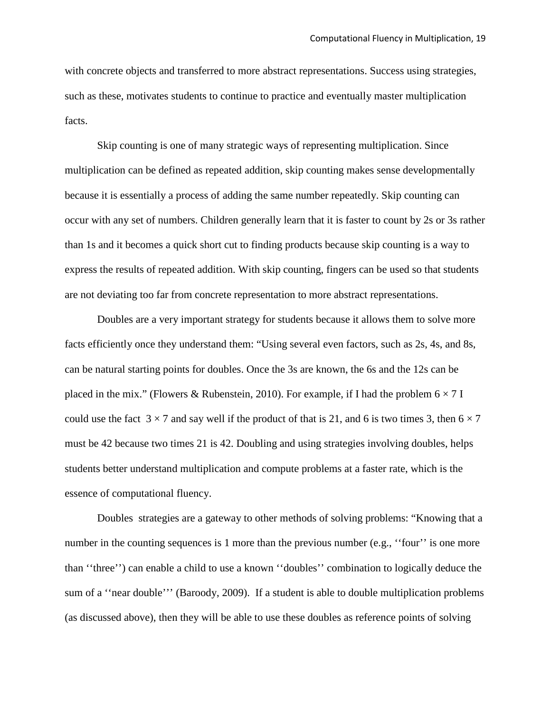with concrete objects and transferred to more abstract representations. Success using strategies, such as these, motivates students to continue to practice and eventually master multiplication facts.

Skip counting is one of many strategic ways of representing multiplication. Since multiplication can be defined as repeated addition, skip counting makes sense developmentally because it is essentially a process of adding the same number repeatedly. Skip counting can occur with any set of numbers. Children generally learn that it is faster to count by 2s or 3s rather than 1s and it becomes a quick short cut to finding products because skip counting is a way to express the results of repeated addition. With skip counting, fingers can be used so that students are not deviating too far from concrete representation to more abstract representations.

Doubles are a very important strategy for students because it allows them to solve more facts efficiently once they understand them: "Using several even factors, such as 2s, 4s, and 8s, can be natural starting points for doubles. Once the 3s are known, the 6s and the 12s can be placed in the mix." (Flowers & Rubenstein, 2010). For example, if I had the problem  $6 \times 7$  I could use the fact  $3 \times 7$  and say well if the product of that is 21, and 6 is two times 3, then  $6 \times 7$ must be 42 because two times 21 is 42. Doubling and using strategies involving doubles, helps students better understand multiplication and compute problems at a faster rate, which is the essence of computational fluency.

Doubles strategies are a gateway to other methods of solving problems: "Knowing that a number in the counting sequences is 1 more than the previous number (e.g., "four" is one more than ''three'') can enable a child to use a known ''doubles'' combination to logically deduce the sum of a "near double"' (Baroody, 2009). If a student is able to double multiplication problems (as discussed above), then they will be able to use these doubles as reference points of solving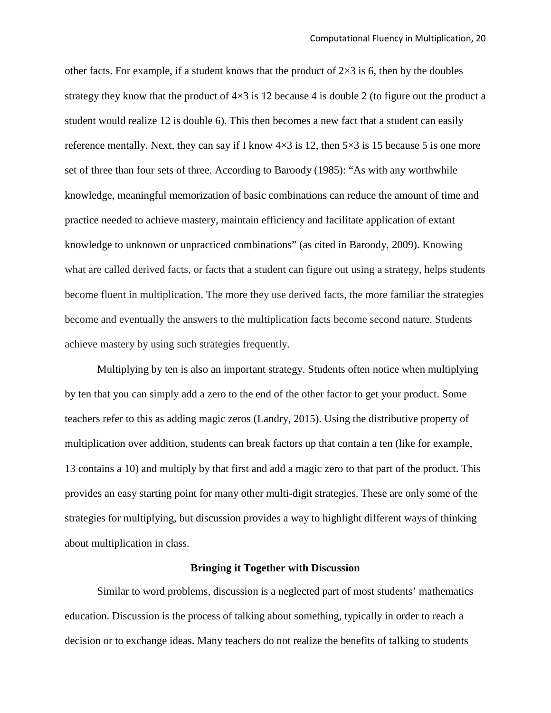other facts. For example, if a student knows that the product of  $2\times 3$  is 6, then by the doubles strategy they know that the product of  $4\times3$  is 12 because 4 is double 2 (to figure out the product a student would realize 12 is double 6). This then becomes a new fact that a student can easily reference mentally. Next, they can say if I know  $4\times3$  is 12, then  $5\times3$  is 15 because 5 is one more set of three than four sets of three. According to Baroody (1985): "As with any worthwhile knowledge, meaningful memorization of basic combinations can reduce the amount of time and practice needed to achieve mastery, maintain efficiency and facilitate application of extant knowledge to unknown or unpracticed combinations" (as cited in Baroody, 2009). Knowing what are called derived facts, or facts that a student can figure out using a strategy, helps students become fluent in multiplication. The more they use derived facts, the more familiar the strategies become and eventually the answers to the multiplication facts become second nature. Students achieve mastery by using such strategies frequently.

Multiplying by ten is also an important strategy. Students often notice when multiplying by ten that you can simply add a zero to the end of the other factor to get your product. Some teachers refer to this as adding magic zeros (Landry, 2015). Using the distributive property of multiplication over addition, students can break factors up that contain a ten (like for example, 13 contains a 10) and multiply by that first and add a magic zero to that part of the product. This provides an easy starting point for many other multi-digit strategies. These are only some of the strategies for multiplying, but discussion provides a way to highlight different ways of thinking about multiplication in class.

#### **Bringing it Together with Discussion**

Similar to word problems, discussion is a neglected part of most students' mathematics education. Discussion is the process of talking about something, typically in order to reach a decision or to exchange ideas. Many teachers do not realize the benefits of talking to students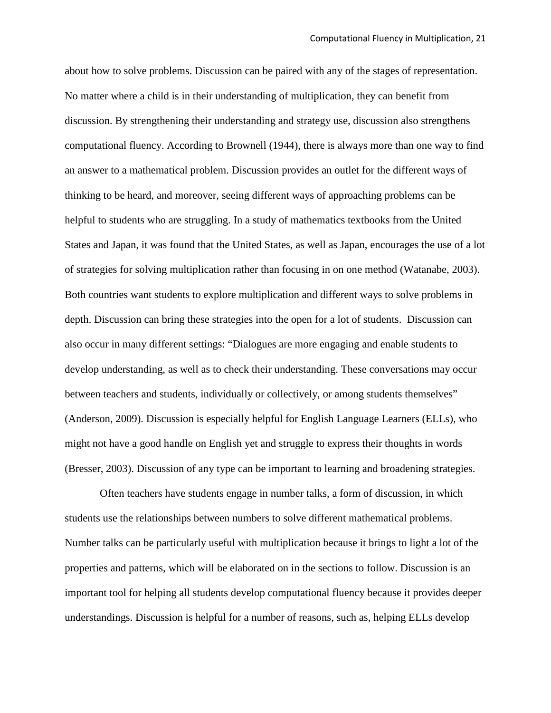about how to solve problems. Discussion can be paired with any of the stages of representation. No matter where a child is in their understanding of multiplication, they can benefit from discussion. By strengthening their understanding and strategy use, discussion also strengthens computational fluency. According to Brownell (1944), there is always more than one way to find an answer to a mathematical problem. Discussion provides an outlet for the different ways of thinking to be heard, and moreover, seeing different ways of approaching problems can be helpful to students who are struggling. In a study of mathematics textbooks from the United States and Japan, it was found that the United States, as well as Japan, encourages the use of a lot of strategies for solving multiplication rather than focusing in on one method (Watanabe, 2003). Both countries want students to explore multiplication and different ways to solve problems in depth. Discussion can bring these strategies into the open for a lot of students. Discussion can also occur in many different settings: "Dialogues are more engaging and enable students to develop understanding, as well as to check their understanding. These conversations may occur between teachers and students, individually or collectively, or among students themselves" (Anderson, 2009). Discussion is especially helpful for English Language Learners (ELLs), who might not have a good handle on English yet and struggle to express their thoughts in words (Bresser, 2003). Discussion of any type can be important to learning and broadening strategies.

Often teachers have students engage in number talks, a form of discussion, in which students use the relationships between numbers to solve different mathematical problems. Number talks can be particularly useful with multiplication because it brings to light a lot of the properties and patterns, which will be elaborated on in the sections to follow. Discussion is an important tool for helping all students develop computational fluency because it provides deeper understandings. Discussion is helpful for a number of reasons, such as, helping ELLs develop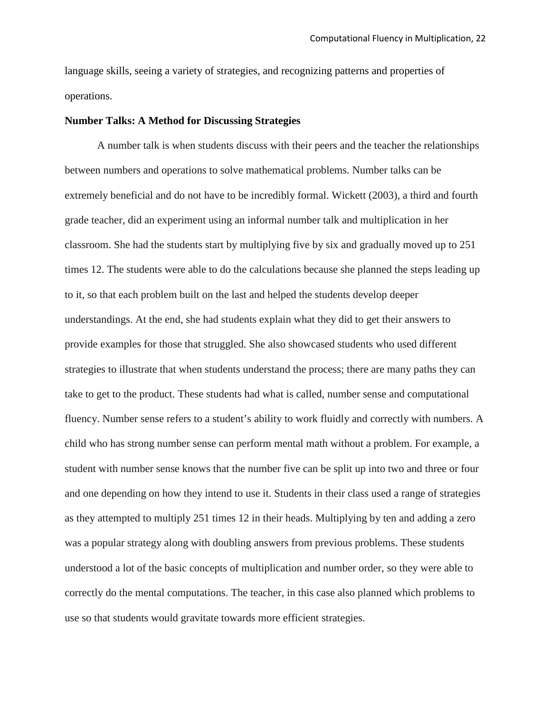language skills, seeing a variety of strategies, and recognizing patterns and properties of operations.

#### **Number Talks: A Method for Discussing Strategies**

A number talk is when students discuss with their peers and the teacher the relationships between numbers and operations to solve mathematical problems. Number talks can be extremely beneficial and do not have to be incredibly formal. Wickett (2003), a third and fourth grade teacher, did an experiment using an informal number talk and multiplication in her classroom. She had the students start by multiplying five by six and gradually moved up to 251 times 12. The students were able to do the calculations because she planned the steps leading up to it, so that each problem built on the last and helped the students develop deeper understandings. At the end, she had students explain what they did to get their answers to provide examples for those that struggled. She also showcased students who used different strategies to illustrate that when students understand the process; there are many paths they can take to get to the product. These students had what is called, number sense and computational fluency. Number sense refers to a student's ability to work fluidly and correctly with numbers. A child who has strong number sense can perform mental math without a problem. For example, a student with number sense knows that the number five can be split up into two and three or four and one depending on how they intend to use it. Students in their class used a range of strategies as they attempted to multiply 251 times 12 in their heads. Multiplying by ten and adding a zero was a popular strategy along with doubling answers from previous problems. These students understood a lot of the basic concepts of multiplication and number order, so they were able to correctly do the mental computations. The teacher, in this case also planned which problems to use so that students would gravitate towards more efficient strategies.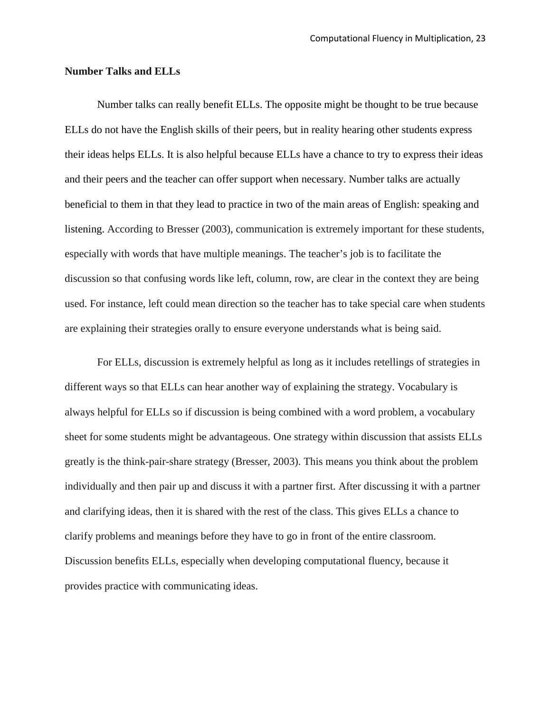#### **Number Talks and ELLs**

Number talks can really benefit ELLs. The opposite might be thought to be true because ELLs do not have the English skills of their peers, but in reality hearing other students express their ideas helps ELLs. It is also helpful because ELLs have a chance to try to express their ideas and their peers and the teacher can offer support when necessary. Number talks are actually beneficial to them in that they lead to practice in two of the main areas of English: speaking and listening. According to Bresser (2003), communication is extremely important for these students, especially with words that have multiple meanings. The teacher's job is to facilitate the discussion so that confusing words like left, column, row, are clear in the context they are being used. For instance, left could mean direction so the teacher has to take special care when students are explaining their strategies orally to ensure everyone understands what is being said.

For ELLs, discussion is extremely helpful as long as it includes retellings of strategies in different ways so that ELLs can hear another way of explaining the strategy. Vocabulary is always helpful for ELLs so if discussion is being combined with a word problem, a vocabulary sheet for some students might be advantageous. One strategy within discussion that assists ELLs greatly is the think-pair-share strategy (Bresser, 2003). This means you think about the problem individually and then pair up and discuss it with a partner first. After discussing it with a partner and clarifying ideas, then it is shared with the rest of the class. This gives ELLs a chance to clarify problems and meanings before they have to go in front of the entire classroom. Discussion benefits ELLs, especially when developing computational fluency, because it provides practice with communicating ideas.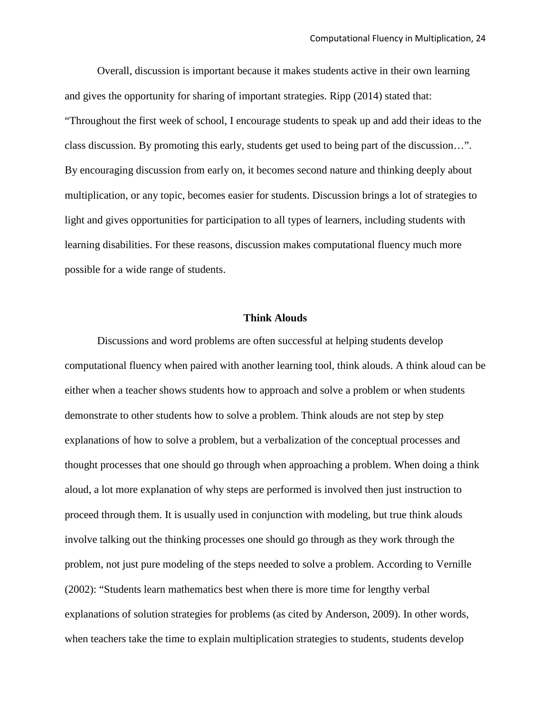Overall, discussion is important because it makes students active in their own learning and gives the opportunity for sharing of important strategies. Ripp (2014) stated that: "Throughout the first week of school, I encourage students to speak up and add their ideas to the class discussion. By promoting this early, students get used to being part of the discussion…". By encouraging discussion from early on, it becomes second nature and thinking deeply about multiplication, or any topic, becomes easier for students. Discussion brings a lot of strategies to light and gives opportunities for participation to all types of learners, including students with learning disabilities. For these reasons, discussion makes computational fluency much more possible for a wide range of students.

#### **Think Alouds**

Discussions and word problems are often successful at helping students develop computational fluency when paired with another learning tool, think alouds. A think aloud can be either when a teacher shows students how to approach and solve a problem or when students demonstrate to other students how to solve a problem. Think alouds are not step by step explanations of how to solve a problem, but a verbalization of the conceptual processes and thought processes that one should go through when approaching a problem. When doing a think aloud, a lot more explanation of why steps are performed is involved then just instruction to proceed through them. It is usually used in conjunction with modeling, but true think alouds involve talking out the thinking processes one should go through as they work through the problem, not just pure modeling of the steps needed to solve a problem. According to Vernille (2002): "Students learn mathematics best when there is more time for lengthy verbal explanations of solution strategies for problems (as cited by Anderson, 2009). In other words, when teachers take the time to explain multiplication strategies to students, students develop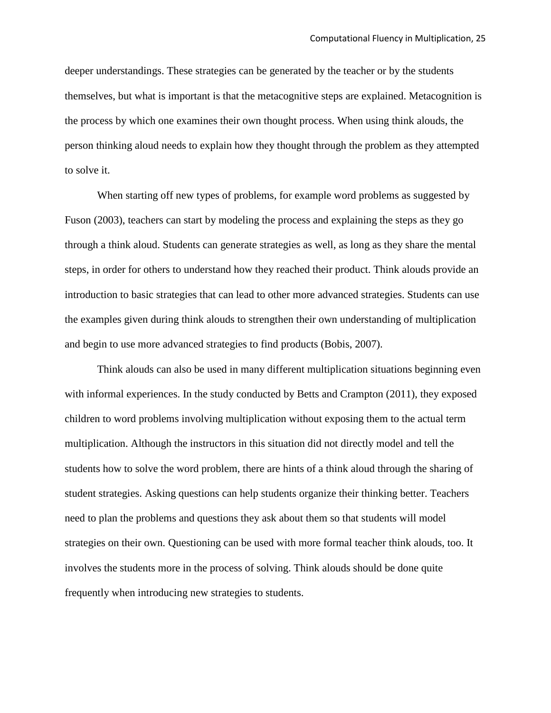deeper understandings. These strategies can be generated by the teacher or by the students themselves, but what is important is that the metacognitive steps are explained. Metacognition is the process by which one examines their own thought process. When using think alouds, the person thinking aloud needs to explain how they thought through the problem as they attempted to solve it.

When starting off new types of problems, for example word problems as suggested by Fuson (2003), teachers can start by modeling the process and explaining the steps as they go through a think aloud. Students can generate strategies as well, as long as they share the mental steps, in order for others to understand how they reached their product. Think alouds provide an introduction to basic strategies that can lead to other more advanced strategies. Students can use the examples given during think alouds to strengthen their own understanding of multiplication and begin to use more advanced strategies to find products (Bobis, 2007).

Think alouds can also be used in many different multiplication situations beginning even with informal experiences. In the study conducted by Betts and Crampton (2011), they exposed children to word problems involving multiplication without exposing them to the actual term multiplication. Although the instructors in this situation did not directly model and tell the students how to solve the word problem, there are hints of a think aloud through the sharing of student strategies. Asking questions can help students organize their thinking better. Teachers need to plan the problems and questions they ask about them so that students will model strategies on their own. Questioning can be used with more formal teacher think alouds, too. It involves the students more in the process of solving. Think alouds should be done quite frequently when introducing new strategies to students.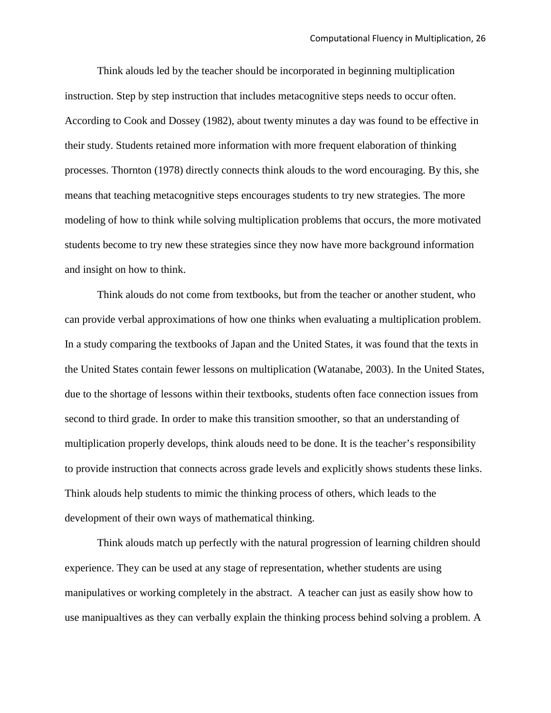Think alouds led by the teacher should be incorporated in beginning multiplication instruction. Step by step instruction that includes metacognitive steps needs to occur often. According to Cook and Dossey (1982), about twenty minutes a day was found to be effective in their study. Students retained more information with more frequent elaboration of thinking processes. Thornton (1978) directly connects think alouds to the word encouraging. By this, she means that teaching metacognitive steps encourages students to try new strategies. The more modeling of how to think while solving multiplication problems that occurs, the more motivated students become to try new these strategies since they now have more background information and insight on how to think.

Think alouds do not come from textbooks, but from the teacher or another student, who can provide verbal approximations of how one thinks when evaluating a multiplication problem. In a study comparing the textbooks of Japan and the United States, it was found that the texts in the United States contain fewer lessons on multiplication (Watanabe, 2003). In the United States, due to the shortage of lessons within their textbooks, students often face connection issues from second to third grade. In order to make this transition smoother, so that an understanding of multiplication properly develops, think alouds need to be done. It is the teacher's responsibility to provide instruction that connects across grade levels and explicitly shows students these links. Think alouds help students to mimic the thinking process of others, which leads to the development of their own ways of mathematical thinking.

Think alouds match up perfectly with the natural progression of learning children should experience. They can be used at any stage of representation, whether students are using manipulatives or working completely in the abstract. A teacher can just as easily show how to use manipualtives as they can verbally explain the thinking process behind solving a problem. A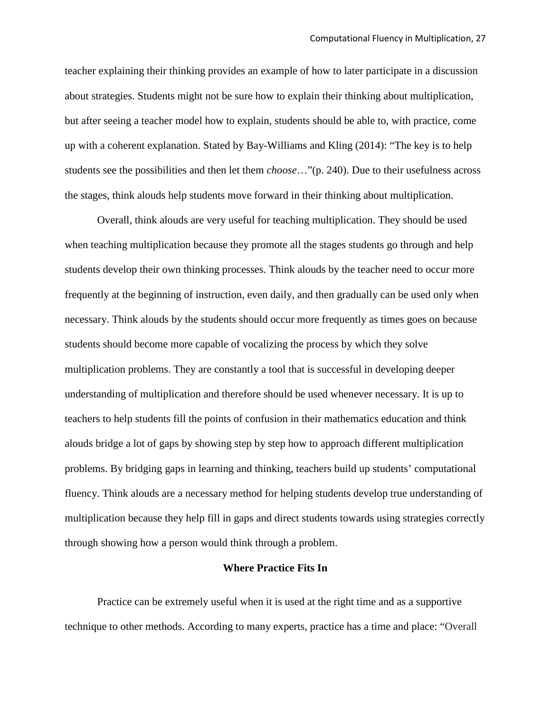teacher explaining their thinking provides an example of how to later participate in a discussion about strategies. Students might not be sure how to explain their thinking about multiplication, but after seeing a teacher model how to explain, students should be able to, with practice, come up with a coherent explanation. Stated by Bay-Williams and Kling (2014): "The key is to help students see the possibilities and then let them *choose*…"(p. 240). Due to their usefulness across the stages, think alouds help students move forward in their thinking about multiplication.

Overall, think alouds are very useful for teaching multiplication. They should be used when teaching multiplication because they promote all the stages students go through and help students develop their own thinking processes. Think alouds by the teacher need to occur more frequently at the beginning of instruction, even daily, and then gradually can be used only when necessary. Think alouds by the students should occur more frequently as times goes on because students should become more capable of vocalizing the process by which they solve multiplication problems. They are constantly a tool that is successful in developing deeper understanding of multiplication and therefore should be used whenever necessary. It is up to teachers to help students fill the points of confusion in their mathematics education and think alouds bridge a lot of gaps by showing step by step how to approach different multiplication problems. By bridging gaps in learning and thinking, teachers build up students' computational fluency. Think alouds are a necessary method for helping students develop true understanding of multiplication because they help fill in gaps and direct students towards using strategies correctly through showing how a person would think through a problem.

#### **Where Practice Fits In**

Practice can be extremely useful when it is used at the right time and as a supportive technique to other methods. According to many experts, practice has a time and place: "Overall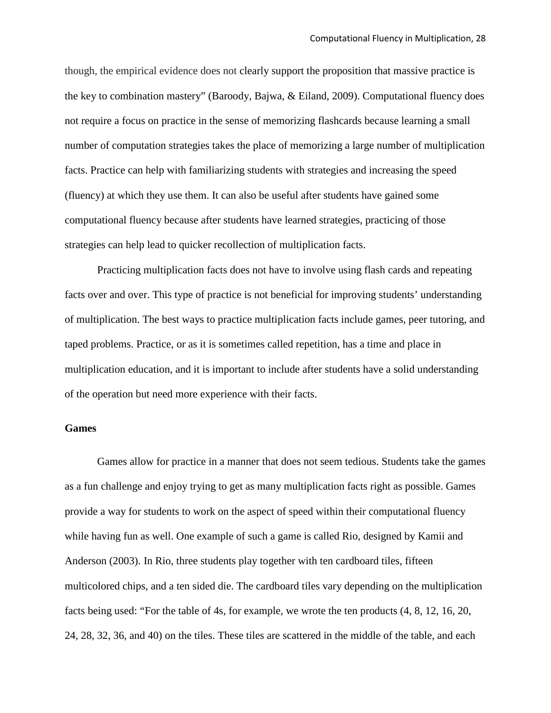though, the empirical evidence does not clearly support the proposition that massive practice is the key to combination mastery" (Baroody, Bajwa, & Eiland, 2009). Computational fluency does not require a focus on practice in the sense of memorizing flashcards because learning a small number of computation strategies takes the place of memorizing a large number of multiplication facts. Practice can help with familiarizing students with strategies and increasing the speed (fluency) at which they use them. It can also be useful after students have gained some computational fluency because after students have learned strategies, practicing of those strategies can help lead to quicker recollection of multiplication facts.

Practicing multiplication facts does not have to involve using flash cards and repeating facts over and over. This type of practice is not beneficial for improving students' understanding of multiplication. The best ways to practice multiplication facts include games, peer tutoring, and taped problems. Practice, or as it is sometimes called repetition, has a time and place in multiplication education, and it is important to include after students have a solid understanding of the operation but need more experience with their facts.

#### **Games**

Games allow for practice in a manner that does not seem tedious. Students take the games as a fun challenge and enjoy trying to get as many multiplication facts right as possible. Games provide a way for students to work on the aspect of speed within their computational fluency while having fun as well. One example of such a game is called Rio, designed by Kamii and Anderson (2003). In Rio, three students play together with ten cardboard tiles, fifteen multicolored chips, and a ten sided die. The cardboard tiles vary depending on the multiplication facts being used: "For the table of 4s, for example, we wrote the ten products (4, 8, 12, 16, 20, 24, 28, 32, 36, and 40) on the tiles. These tiles are scattered in the middle of the table, and each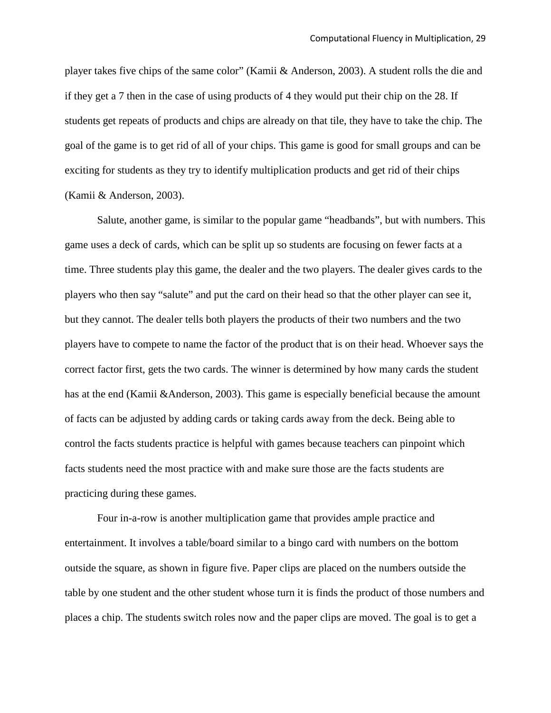player takes five chips of the same color" (Kamii & Anderson, 2003). A student rolls the die and if they get a 7 then in the case of using products of 4 they would put their chip on the 28. If students get repeats of products and chips are already on that tile, they have to take the chip. The goal of the game is to get rid of all of your chips. This game is good for small groups and can be exciting for students as they try to identify multiplication products and get rid of their chips (Kamii & Anderson, 2003).

Salute, another game, is similar to the popular game "headbands", but with numbers. This game uses a deck of cards, which can be split up so students are focusing on fewer facts at a time. Three students play this game, the dealer and the two players. The dealer gives cards to the players who then say "salute" and put the card on their head so that the other player can see it, but they cannot. The dealer tells both players the products of their two numbers and the two players have to compete to name the factor of the product that is on their head. Whoever says the correct factor first, gets the two cards. The winner is determined by how many cards the student has at the end (Kamii &Anderson, 2003). This game is especially beneficial because the amount of facts can be adjusted by adding cards or taking cards away from the deck. Being able to control the facts students practice is helpful with games because teachers can pinpoint which facts students need the most practice with and make sure those are the facts students are practicing during these games.

Four in-a-row is another multiplication game that provides ample practice and entertainment. It involves a table/board similar to a bingo card with numbers on the bottom outside the square, as shown in figure five. Paper clips are placed on the numbers outside the table by one student and the other student whose turn it is finds the product of those numbers and places a chip. The students switch roles now and the paper clips are moved. The goal is to get a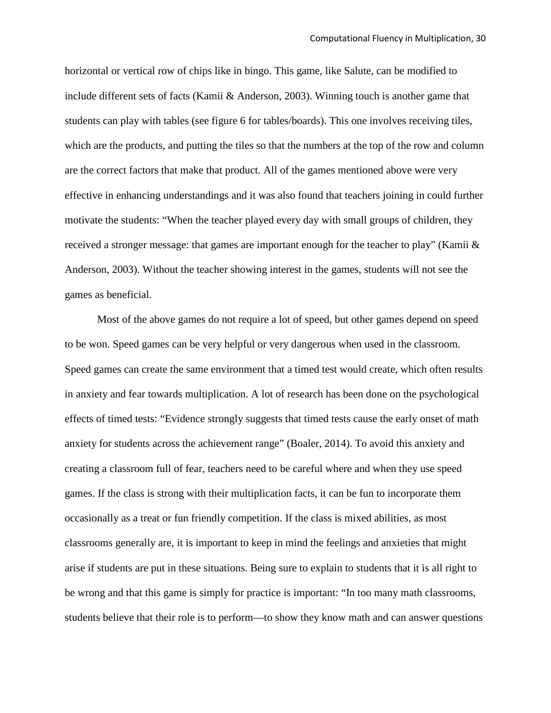horizontal or vertical row of chips like in bingo. This game, like Salute, can be modified to include different sets of facts (Kamii & Anderson, 2003). Winning touch is another game that students can play with tables (see figure 6 for tables/boards). This one involves receiving tiles, which are the products, and putting the tiles so that the numbers at the top of the row and column are the correct factors that make that product. All of the games mentioned above were very effective in enhancing understandings and it was also found that teachers joining in could further motivate the students: "When the teacher played every day with small groups of children, they received a stronger message: that games are important enough for the teacher to play" (Kamii & Anderson, 2003). Without the teacher showing interest in the games, students will not see the games as beneficial.

Most of the above games do not require a lot of speed, but other games depend on speed to be won. Speed games can be very helpful or very dangerous when used in the classroom. Speed games can create the same environment that a timed test would create, which often results in anxiety and fear towards multiplication. A lot of research has been done on the psychological effects of timed tests: "Evidence strongly suggests that timed tests cause the early onset of math anxiety for students across the achievement range" (Boaler, 2014). To avoid this anxiety and creating a classroom full of fear, teachers need to be careful where and when they use speed games. If the class is strong with their multiplication facts, it can be fun to incorporate them occasionally as a treat or fun friendly competition. If the class is mixed abilities, as most classrooms generally are, it is important to keep in mind the feelings and anxieties that might arise if students are put in these situations. Being sure to explain to students that it is all right to be wrong and that this game is simply for practice is important: "In too many math classrooms, students believe that their role is to perform—to show they know math and can answer questions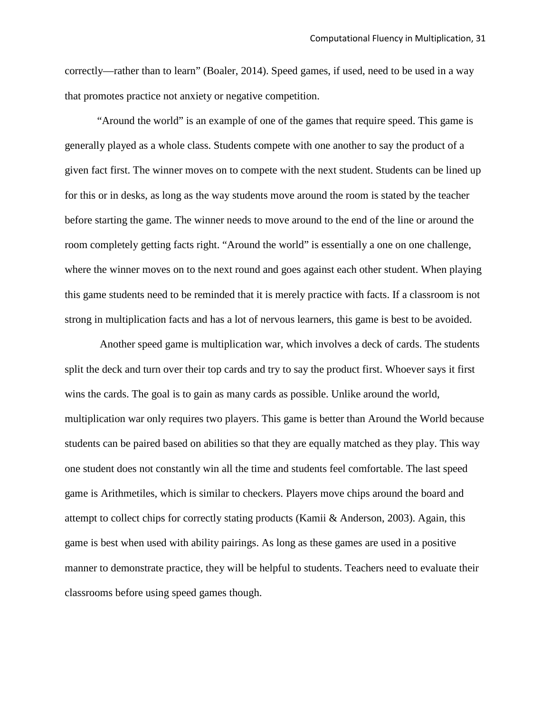correctly—rather than to learn" (Boaler, 2014). Speed games, if used, need to be used in a way that promotes practice not anxiety or negative competition.

"Around the world" is an example of one of the games that require speed. This game is generally played as a whole class. Students compete with one another to say the product of a given fact first. The winner moves on to compete with the next student. Students can be lined up for this or in desks, as long as the way students move around the room is stated by the teacher before starting the game. The winner needs to move around to the end of the line or around the room completely getting facts right. "Around the world" is essentially a one on one challenge, where the winner moves on to the next round and goes against each other student. When playing this game students need to be reminded that it is merely practice with facts. If a classroom is not strong in multiplication facts and has a lot of nervous learners, this game is best to be avoided.

Another speed game is multiplication war, which involves a deck of cards. The students split the deck and turn over their top cards and try to say the product first. Whoever says it first wins the cards. The goal is to gain as many cards as possible. Unlike around the world, multiplication war only requires two players. This game is better than Around the World because students can be paired based on abilities so that they are equally matched as they play. This way one student does not constantly win all the time and students feel comfortable. The last speed game is Arithmetiles, which is similar to checkers. Players move chips around the board and attempt to collect chips for correctly stating products (Kamii & Anderson, 2003). Again, this game is best when used with ability pairings. As long as these games are used in a positive manner to demonstrate practice, they will be helpful to students. Teachers need to evaluate their classrooms before using speed games though.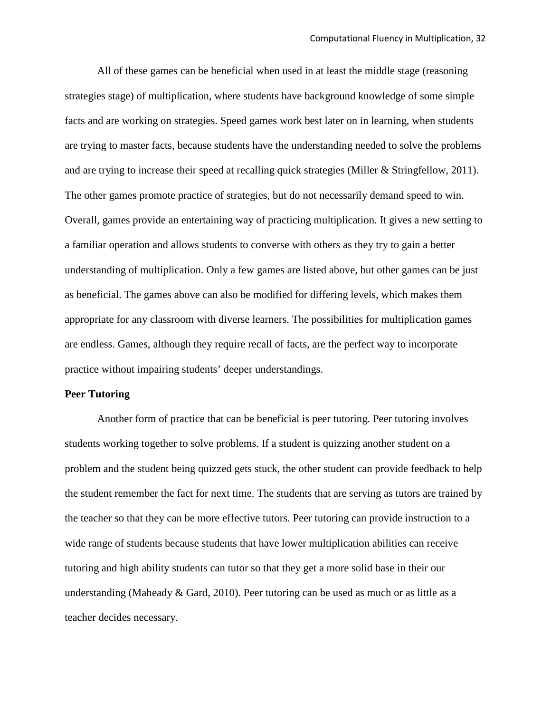All of these games can be beneficial when used in at least the middle stage (reasoning strategies stage) of multiplication, where students have background knowledge of some simple facts and are working on strategies. Speed games work best later on in learning, when students are trying to master facts, because students have the understanding needed to solve the problems and are trying to increase their speed at recalling quick strategies (Miller & Stringfellow, 2011). The other games promote practice of strategies, but do not necessarily demand speed to win. Overall, games provide an entertaining way of practicing multiplication. It gives a new setting to a familiar operation and allows students to converse with others as they try to gain a better understanding of multiplication. Only a few games are listed above, but other games can be just as beneficial. The games above can also be modified for differing levels, which makes them appropriate for any classroom with diverse learners. The possibilities for multiplication games are endless. Games, although they require recall of facts, are the perfect way to incorporate practice without impairing students' deeper understandings.

#### **Peer Tutoring**

Another form of practice that can be beneficial is peer tutoring. Peer tutoring involves students working together to solve problems. If a student is quizzing another student on a problem and the student being quizzed gets stuck, the other student can provide feedback to help the student remember the fact for next time. The students that are serving as tutors are trained by the teacher so that they can be more effective tutors. Peer tutoring can provide instruction to a wide range of students because students that have lower multiplication abilities can receive tutoring and high ability students can tutor so that they get a more solid base in their our understanding (Maheady & Gard, 2010). Peer tutoring can be used as much or as little as a teacher decides necessary.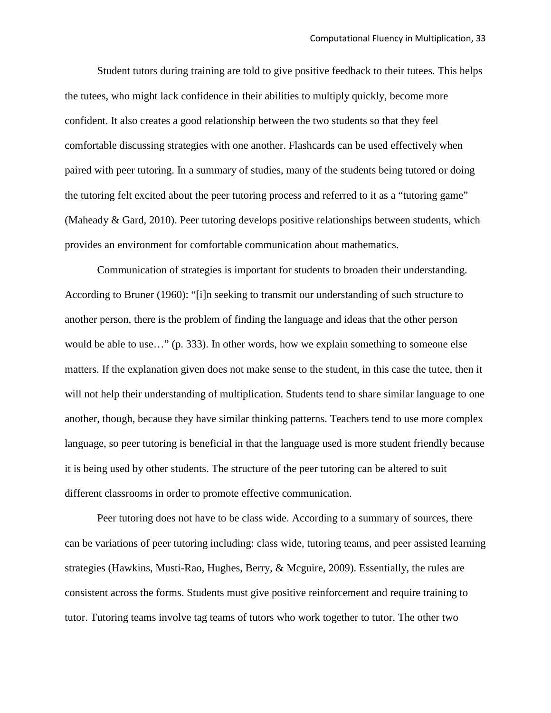Student tutors during training are told to give positive feedback to their tutees. This helps the tutees, who might lack confidence in their abilities to multiply quickly, become more confident. It also creates a good relationship between the two students so that they feel comfortable discussing strategies with one another. Flashcards can be used effectively when paired with peer tutoring. In a summary of studies, many of the students being tutored or doing the tutoring felt excited about the peer tutoring process and referred to it as a "tutoring game" (Maheady & Gard, 2010). Peer tutoring develops positive relationships between students, which provides an environment for comfortable communication about mathematics.

Communication of strategies is important for students to broaden their understanding. According to Bruner (1960): "[i]n seeking to transmit our understanding of such structure to another person, there is the problem of finding the language and ideas that the other person would be able to use…" (p. 333). In other words, how we explain something to someone else matters. If the explanation given does not make sense to the student, in this case the tutee, then it will not help their understanding of multiplication. Students tend to share similar language to one another, though, because they have similar thinking patterns. Teachers tend to use more complex language, so peer tutoring is beneficial in that the language used is more student friendly because it is being used by other students. The structure of the peer tutoring can be altered to suit different classrooms in order to promote effective communication.

Peer tutoring does not have to be class wide. According to a summary of sources, there can be variations of peer tutoring including: class wide, tutoring teams, and peer assisted learning strategies (Hawkins, Musti-Rao, Hughes, Berry, & Mcguire, 2009). Essentially, the rules are consistent across the forms. Students must give positive reinforcement and require training to tutor. Tutoring teams involve tag teams of tutors who work together to tutor. The other two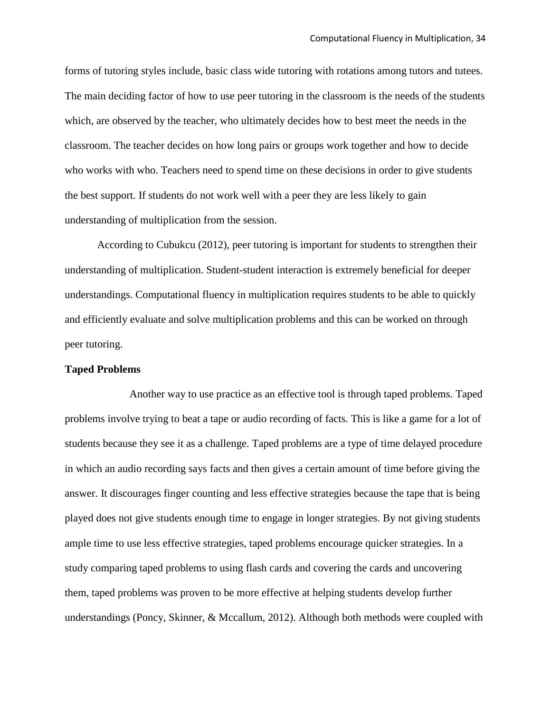forms of tutoring styles include, basic class wide tutoring with rotations among tutors and tutees. The main deciding factor of how to use peer tutoring in the classroom is the needs of the students which, are observed by the teacher, who ultimately decides how to best meet the needs in the classroom. The teacher decides on how long pairs or groups work together and how to decide who works with who. Teachers need to spend time on these decisions in order to give students the best support. If students do not work well with a peer they are less likely to gain understanding of multiplication from the session.

According to Cubukcu (2012), peer tutoring is important for students to strengthen their understanding of multiplication. Student-student interaction is extremely beneficial for deeper understandings. Computational fluency in multiplication requires students to be able to quickly and efficiently evaluate and solve multiplication problems and this can be worked on through peer tutoring.

#### **Taped Problems**

Another way to use practice as an effective tool is through taped problems. Taped problems involve trying to beat a tape or audio recording of facts. This is like a game for a lot of students because they see it as a challenge. Taped problems are a type of time delayed procedure in which an audio recording says facts and then gives a certain amount of time before giving the answer. It discourages finger counting and less effective strategies because the tape that is being played does not give students enough time to engage in longer strategies. By not giving students ample time to use less effective strategies, taped problems encourage quicker strategies. In a study comparing taped problems to using flash cards and covering the cards and uncovering them, taped problems was proven to be more effective at helping students develop further understandings (Poncy, Skinner, & Mccallum, 2012). Although both methods were coupled with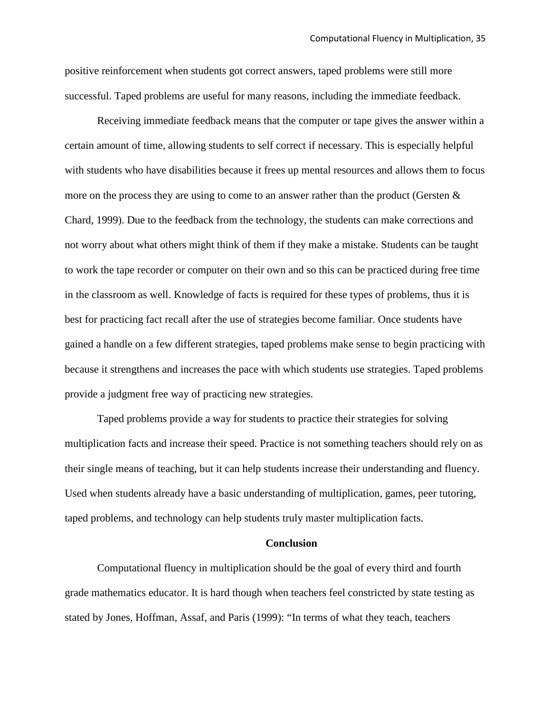positive reinforcement when students got correct answers, taped problems were still more successful. Taped problems are useful for many reasons, including the immediate feedback.

Receiving immediate feedback means that the computer or tape gives the answer within a certain amount of time, allowing students to self correct if necessary. This is especially helpful with students who have disabilities because it frees up mental resources and allows them to focus more on the process they are using to come to an answer rather than the product (Gersten  $\&$ Chard, 1999). Due to the feedback from the technology, the students can make corrections and not worry about what others might think of them if they make a mistake. Students can be taught to work the tape recorder or computer on their own and so this can be practiced during free time in the classroom as well. Knowledge of facts is required for these types of problems, thus it is best for practicing fact recall after the use of strategies become familiar. Once students have gained a handle on a few different strategies, taped problems make sense to begin practicing with because it strengthens and increases the pace with which students use strategies. Taped problems provide a judgment free way of practicing new strategies.

Taped problems provide a way for students to practice their strategies for solving multiplication facts and increase their speed. Practice is not something teachers should rely on as their single means of teaching, but it can help students increase their understanding and fluency. Used when students already have a basic understanding of multiplication, games, peer tutoring, taped problems, and technology can help students truly master multiplication facts.

#### **Conclusion**

Computational fluency in multiplication should be the goal of every third and fourth grade mathematics educator. It is hard though when teachers feel constricted by state testing as stated by Jones, Hoffman, Assaf, and Paris (1999): "In terms of what they teach, teachers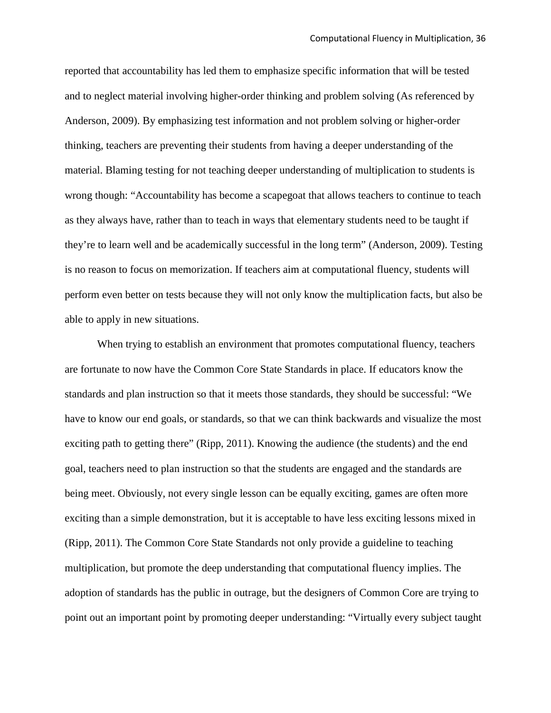reported that accountability has led them to emphasize specific information that will be tested and to neglect material involving higher-order thinking and problem solving (As referenced by Anderson, 2009). By emphasizing test information and not problem solving or higher-order thinking, teachers are preventing their students from having a deeper understanding of the material. Blaming testing for not teaching deeper understanding of multiplication to students is wrong though: "Accountability has become a scapegoat that allows teachers to continue to teach as they always have, rather than to teach in ways that elementary students need to be taught if they're to learn well and be academically successful in the long term" (Anderson, 2009). Testing is no reason to focus on memorization. If teachers aim at computational fluency, students will perform even better on tests because they will not only know the multiplication facts, but also be able to apply in new situations.

When trying to establish an environment that promotes computational fluency, teachers are fortunate to now have the Common Core State Standards in place. If educators know the standards and plan instruction so that it meets those standards, they should be successful: "We have to know our end goals, or standards, so that we can think backwards and visualize the most exciting path to getting there" (Ripp, 2011). Knowing the audience (the students) and the end goal, teachers need to plan instruction so that the students are engaged and the standards are being meet. Obviously, not every single lesson can be equally exciting, games are often more exciting than a simple demonstration, but it is acceptable to have less exciting lessons mixed in (Ripp, 2011). The Common Core State Standards not only provide a guideline to teaching multiplication, but promote the deep understanding that computational fluency implies. The adoption of standards has the public in outrage, but the designers of Common Core are trying to point out an important point by promoting deeper understanding: "Virtually every subject taught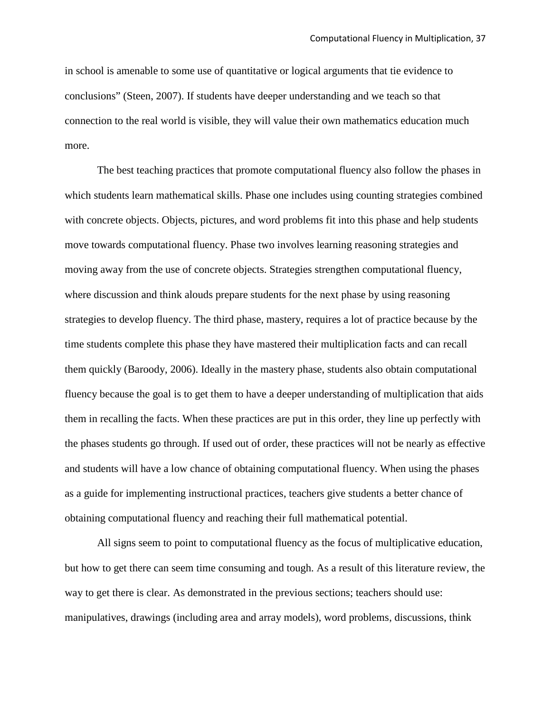in school is amenable to some use of quantitative or logical arguments that tie evidence to conclusions" (Steen, 2007). If students have deeper understanding and we teach so that connection to the real world is visible, they will value their own mathematics education much more.

The best teaching practices that promote computational fluency also follow the phases in which students learn mathematical skills. Phase one includes using counting strategies combined with concrete objects. Objects, pictures, and word problems fit into this phase and help students move towards computational fluency. Phase two involves learning reasoning strategies and moving away from the use of concrete objects. Strategies strengthen computational fluency, where discussion and think alouds prepare students for the next phase by using reasoning strategies to develop fluency. The third phase, mastery, requires a lot of practice because by the time students complete this phase they have mastered their multiplication facts and can recall them quickly (Baroody, 2006). Ideally in the mastery phase, students also obtain computational fluency because the goal is to get them to have a deeper understanding of multiplication that aids them in recalling the facts. When these practices are put in this order, they line up perfectly with the phases students go through. If used out of order, these practices will not be nearly as effective and students will have a low chance of obtaining computational fluency. When using the phases as a guide for implementing instructional practices, teachers give students a better chance of obtaining computational fluency and reaching their full mathematical potential.

All signs seem to point to computational fluency as the focus of multiplicative education, but how to get there can seem time consuming and tough. As a result of this literature review, the way to get there is clear. As demonstrated in the previous sections; teachers should use: manipulatives, drawings (including area and array models), word problems, discussions, think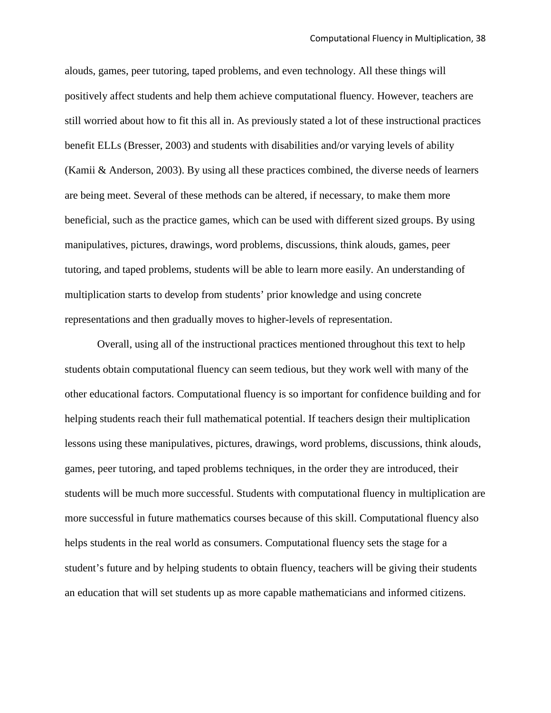alouds, games, peer tutoring, taped problems, and even technology. All these things will positively affect students and help them achieve computational fluency. However, teachers are still worried about how to fit this all in. As previously stated a lot of these instructional practices benefit ELLs (Bresser, 2003) and students with disabilities and/or varying levels of ability (Kamii & Anderson, 2003). By using all these practices combined, the diverse needs of learners are being meet. Several of these methods can be altered, if necessary, to make them more beneficial, such as the practice games, which can be used with different sized groups. By using manipulatives, pictures, drawings, word problems, discussions, think alouds, games, peer tutoring, and taped problems, students will be able to learn more easily. An understanding of multiplication starts to develop from students' prior knowledge and using concrete representations and then gradually moves to higher-levels of representation.

Overall, using all of the instructional practices mentioned throughout this text to help students obtain computational fluency can seem tedious, but they work well with many of the other educational factors. Computational fluency is so important for confidence building and for helping students reach their full mathematical potential. If teachers design their multiplication lessons using these manipulatives, pictures, drawings, word problems, discussions, think alouds, games, peer tutoring, and taped problems techniques, in the order they are introduced, their students will be much more successful. Students with computational fluency in multiplication are more successful in future mathematics courses because of this skill. Computational fluency also helps students in the real world as consumers. Computational fluency sets the stage for a student's future and by helping students to obtain fluency, teachers will be giving their students an education that will set students up as more capable mathematicians and informed citizens.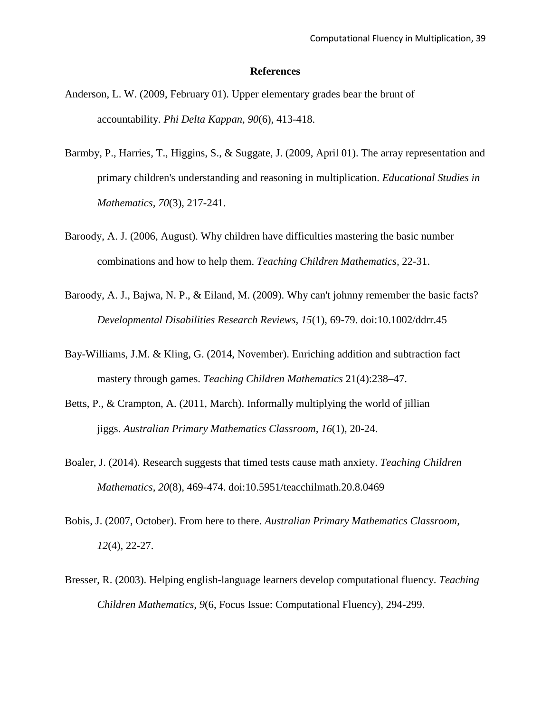#### **References**

- Anderson, L. W. (2009, February 01). Upper elementary grades bear the brunt of accountability. *Phi Delta Kappan, 90*(6), 413-418.
- Barmby, P., Harries, T., Higgins, S., & Suggate, J. (2009, April 01). The array representation and primary children's understanding and reasoning in multiplication. *Educational Studies in Mathematics, 70*(3), 217-241.
- Baroody, A. J. (2006, August). Why children have difficulties mastering the basic number combinations and how to help them. *Teaching Children Mathematics,* 22-31.
- Baroody, A. J., Bajwa, N. P., & Eiland, M. (2009). Why can't johnny remember the basic facts? *Developmental Disabilities Research Reviews, 15*(1), 69-79. doi:10.1002/ddrr.45
- Bay-Williams, J.M. & Kling, G. (2014, November). Enriching addition and subtraction fact mastery through games. *Teaching Children Mathematics* 21(4):238–47.
- Betts, P., & Crampton, A. (2011, March). Informally multiplying the world of jillian jiggs. *Australian Primary Mathematics Classroom, 16*(1), 20-24.
- Boaler, J. (2014). Research suggests that timed tests cause math anxiety. *Teaching Children Mathematics, 20*(8), 469-474. doi:10.5951/teacchilmath.20.8.0469
- Bobis, J. (2007, October). From here to there. *Australian Primary Mathematics Classroom, 12*(4), 22-27.
- Bresser, R. (2003). Helping english-language learners develop computational fluency. *Teaching Children Mathematics, 9*(6, Focus Issue: Computational Fluency), 294-299.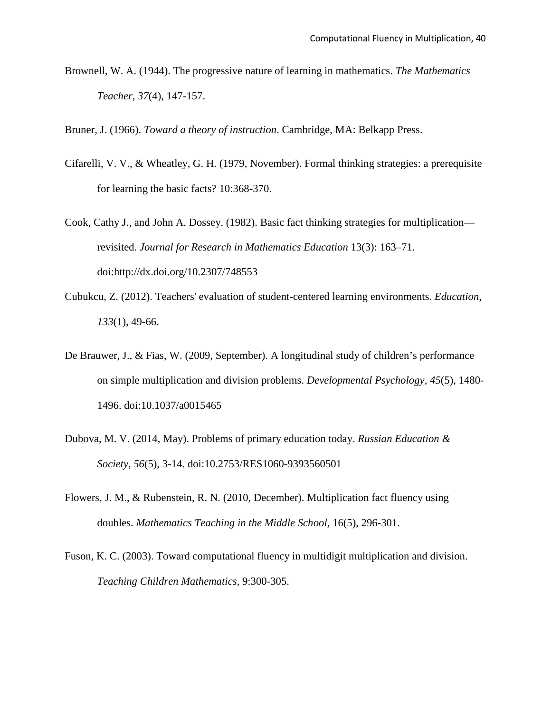Brownell, W. A. (1944). The progressive nature of learning in mathematics. *The Mathematics Teacher, 37*(4), 147-157.

Bruner, J. (1966). *Toward a theory of instruction*. Cambridge, MA: Belkapp Press.

- Cifarelli, V. V., & Wheatley, G. H. (1979, November). Formal thinking strategies: a prerequisite for learning the basic facts? 10:368-370.
- Cook, Cathy J., and John A. Dossey. (1982). Basic fact thinking strategies for multiplication revisited. *Journal for Research in Mathematics Education* 13(3): 163–71. doi:http://dx.doi.org/10.2307/748553
- Cubukcu, Z. (2012). Teachers' evaluation of student-centered learning environments. *Education, 133*(1), 49-66.
- De Brauwer, J., & Fias, W. (2009, September). A longitudinal study of children's performance on simple multiplication and division problems. *Developmental Psychology, 45*(5), 1480- 1496. doi:10.1037/a0015465
- Dubova, M. V. (2014, May). Problems of primary education today. *Russian Education & Society, 56*(5), 3-14. doi:10.2753/RES1060-9393560501
- Flowers, J. M., & Rubenstein, R. N. (2010, December). Multiplication fact fluency using doubles. *Mathematics Teaching in the Middle School,* 16(5), 296-301.
- Fuson, K. C. (2003). Toward computational fluency in multidigit multiplication and division. *Teaching Children Mathematics,* 9:300-305.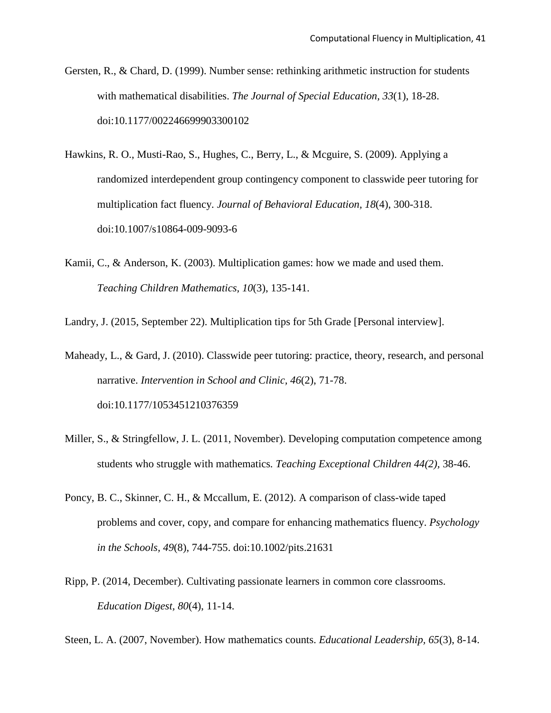- Gersten, R., & Chard, D. (1999). Number sense: rethinking arithmetic instruction for students with mathematical disabilities. *The Journal of Special Education, 33*(1), 18-28. doi:10.1177/002246699903300102
- Hawkins, R. O., Musti-Rao, S., Hughes, C., Berry, L., & Mcguire, S. (2009). Applying a randomized interdependent group contingency component to classwide peer tutoring for multiplication fact fluency. *Journal of Behavioral Education, 18*(4), 300-318. doi:10.1007/s10864-009-9093-6
- Kamii, C., & Anderson, K. (2003). Multiplication games: how we made and used them. *Teaching Children Mathematics, 10*(3), 135-141.

Landry, J. (2015, September 22). Multiplication tips for 5th Grade [Personal interview].

- Maheady, L., & Gard, J. (2010). Classwide peer tutoring: practice, theory, research, and personal narrative. *Intervention in School and Clinic, 46*(2), 71-78. doi:10.1177/1053451210376359
- Miller, S., & Stringfellow, J. L. (2011, November). Developing computation competence among students who struggle with mathematics*. Teaching Exceptional Children 44(2),* 38-46.
- Poncy, B. C., Skinner, C. H., & Mccallum, E. (2012). A comparison of class-wide taped problems and cover, copy, and compare for enhancing mathematics fluency. *Psychology in the Schools, 49*(8), 744-755. doi:10.1002/pits.21631
- Ripp, P. (2014, December). Cultivating passionate learners in common core classrooms. *Education Digest, 80*(4), 11-14.

Steen, L. A. (2007, November). How mathematics counts. *Educational Leadership, 65*(3), 8-14.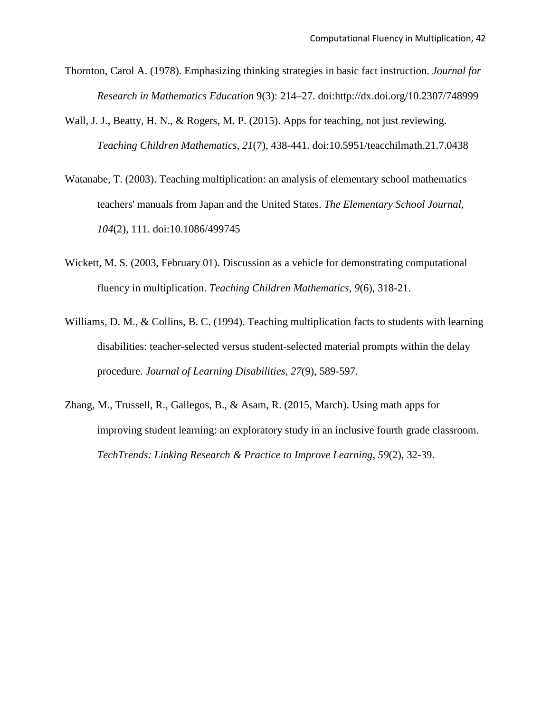- Thornton, Carol A. (1978). Emphasizing thinking strategies in basic fact instruction. *Journal for Research in Mathematics Education* 9(3): 214–27. doi:http://dx.doi.org/10.2307/748999
- Wall, J. J., Beatty, H. N., & Rogers, M. P. (2015). Apps for teaching, not just reviewing. *Teaching Children Mathematics, 21*(7), 438-441. doi:10.5951/teacchilmath.21.7.0438
- Watanabe, T. (2003). Teaching multiplication: an analysis of elementary school mathematics teachers' manuals from Japan and the United States. *The Elementary School Journal, 104*(2), 111. doi:10.1086/499745
- Wickett, M. S. (2003, February 01). Discussion as a vehicle for demonstrating computational fluency in multiplication. *Teaching Children Mathematics, 9*(6), 318-21.
- Williams, D. M., & Collins, B. C. (1994). Teaching multiplication facts to students with learning disabilities: teacher-selected versus student-selected material prompts within the delay procedure. *Journal of Learning Disabilities, 27*(9), 589-597.
- Zhang, M., Trussell, R., Gallegos, B., & Asam, R. (2015, March). Using math apps for improving student learning: an exploratory study in an inclusive fourth grade classroom. *TechTrends: Linking Research & Practice to Improve Learning, 59*(2), 32-39.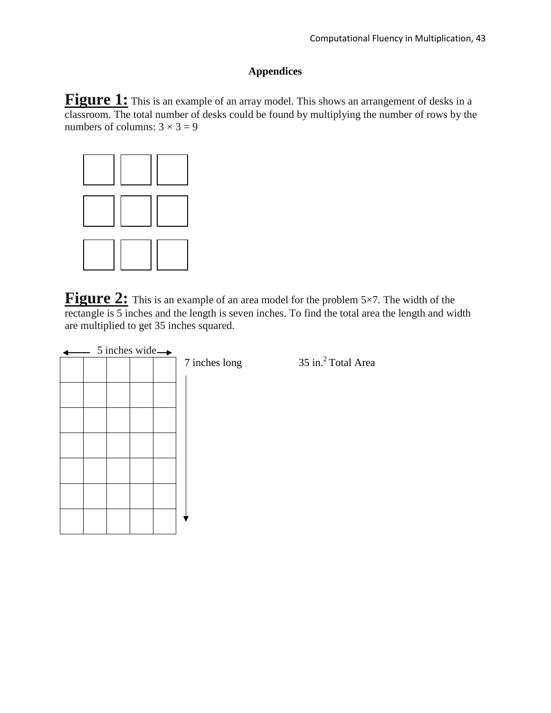### **Appendices**

Figure 1: This is an example of an array model. This shows an arrangement of desks in a classroom. The total number of desks could be found by multiplying the number of rows by the numbers of columns:  $3 \times 3 = 9$ 



**Figure 2:** This is an example of an area model for the problem 5×7. The width of the rectangle is 5 inches and the length is seven inches. To find the total area the length and width are multiplied to get 35 inches squared.

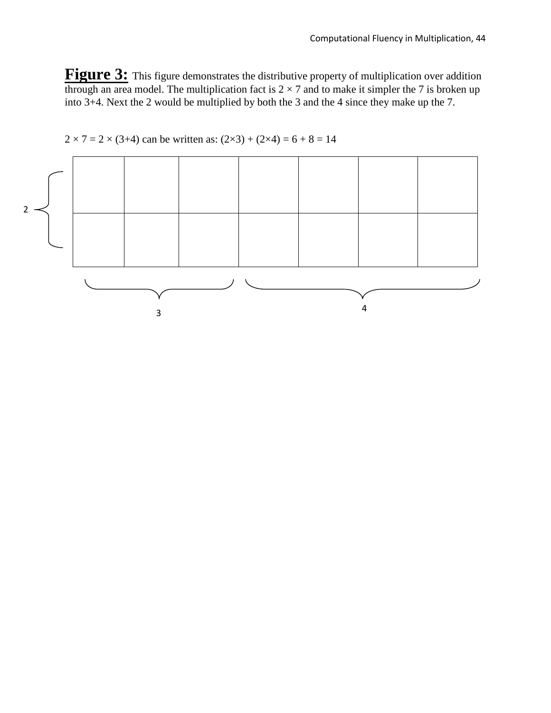Figure 3: This figure demonstrates the distributive property of multiplication over addition through an area model. The multiplication fact is  $2 \times 7$  and to make it simpler the 7 is broken up into 3+4. Next the 2 would be multiplied by both the 3 and the 4 since they make up the 7.



 $2 \times 7 = 2 \times (3+4)$  can be written as:  $(2 \times 3) + (2 \times 4) = 6 + 8 = 14$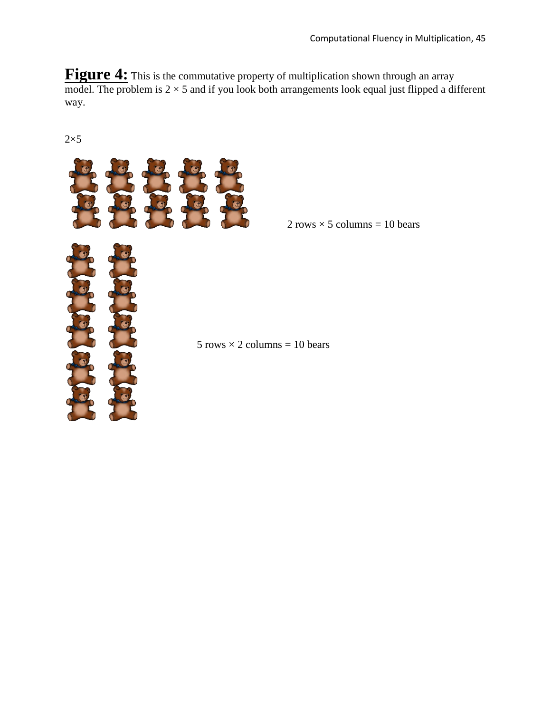**Figure 4:** This is the commutative property of multiplication shown through an array model. The problem is  $2 \times 5$  and if you look both arrangements look equal just flipped a different way.

 $2\times 5$ 



 $2 \text{ rows} \times 5 \text{ columns} = 10 \text{ bears}$ 

 $5 \text{ rows} \times 2 \text{ columns} = 10 \text{ bears}$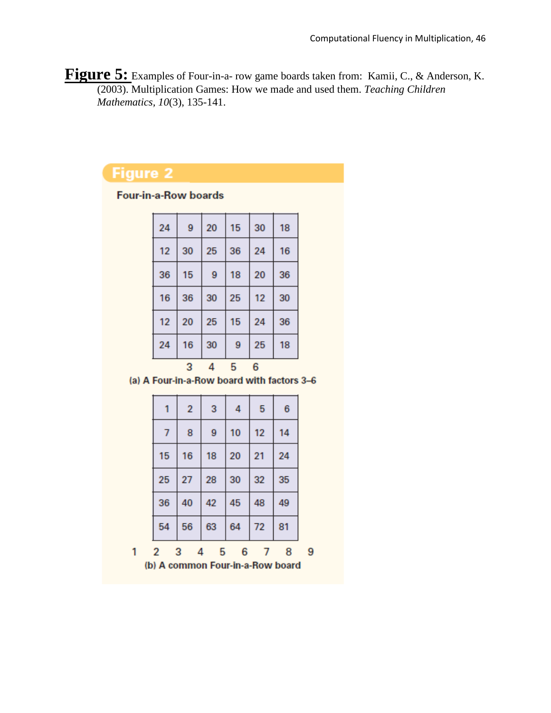**Figure 5:** Examples of Four-in-a- row game boards taken from: Kamii, C., & Anderson, K. (2003). Multiplication Games: How we made and used them. *Teaching Children Mathematics, 10*(3), 135-141.

# **Figure 2**

Four-in-a-Row boards

| 12<br>24 | 20<br>16 | 25<br>30 | 15<br>9 | 24<br>25 | 36<br>18 |
|----------|----------|----------|---------|----------|----------|
|          |          |          |         |          |          |
| 16       | 36       | 30       | 25      | 12       | 30       |
| 36       | 15       | 9        | 18      | 20       | 36       |
| 12       | 30       | 25       | 36      | 24       | 16       |
| 24       | 9        | 20       | 15      | 30       | 18       |

(a) A Four-in-a-Row board with factors 3-6

|                                  | 1              | $\overline{2}$ | 3      | 4  | 5  | 6  |   |
|----------------------------------|----------------|----------------|--------|----|----|----|---|
|                                  | $\overline{7}$ | 8              | 9      | 10 | 12 | 14 |   |
|                                  | 15             | 16             | 18     | 20 | 21 | 24 |   |
|                                  | 25             | 27             | 28     | 30 | 32 | 35 |   |
|                                  | 36             | 40             | 42     | 45 | 48 | 49 |   |
|                                  | 54             | 56             | 63     | 64 | 72 | 81 |   |
|                                  | $\overline{2}$ | 3              | 5<br>4 | 6  |    | 8  | 9 |
| (b) A common Four-in-a-Row board |                |                |        |    |    |    |   |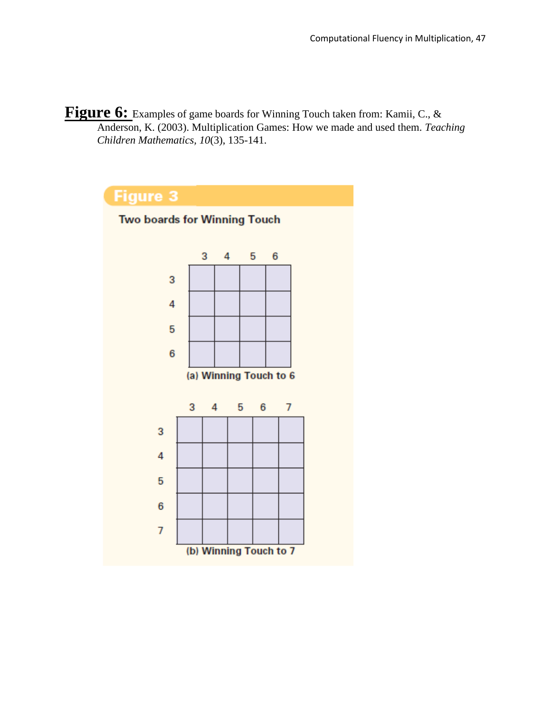Figure 6: Examples of game boards for Winning Touch taken from: Kamii, C., & Anderson, K. (2003). Multiplication Games: How we made and used them. *Teaching Children Mathematics, 10*(3), 135-141.

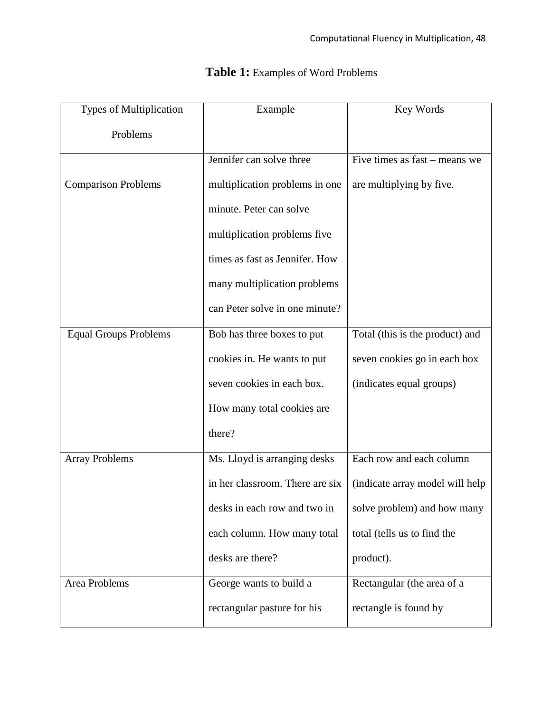| Types of Multiplication      | Example                         | Key Words                       |
|------------------------------|---------------------------------|---------------------------------|
| Problems                     |                                 |                                 |
|                              | Jennifer can solve three        | Five times as fast – means we   |
| <b>Comparison Problems</b>   | multiplication problems in one  | are multiplying by five.        |
|                              | minute. Peter can solve         |                                 |
|                              | multiplication problems five    |                                 |
|                              | times as fast as Jennifer. How  |                                 |
|                              | many multiplication problems    |                                 |
|                              | can Peter solve in one minute?  |                                 |
| <b>Equal Groups Problems</b> | Bob has three boxes to put      | Total (this is the product) and |
|                              | cookies in. He wants to put     | seven cookies go in each box    |
|                              | seven cookies in each box.      | (indicates equal groups)        |
|                              | How many total cookies are      |                                 |
|                              | there?                          |                                 |
| <b>Array Problems</b>        | Ms. Lloyd is arranging desks    | Each row and each column        |
|                              | in her classroom. There are six | (indicate array model will help |
|                              | desks in each row and two in    | solve problem) and how many     |
|                              | each column. How many total     | total (tells us to find the     |
|                              | desks are there?                | product).                       |
| <b>Area Problems</b>         | George wants to build a         | Rectangular (the area of a      |
|                              | rectangular pasture for his     | rectangle is found by           |

## **Table 1:** Examples of Word Problems